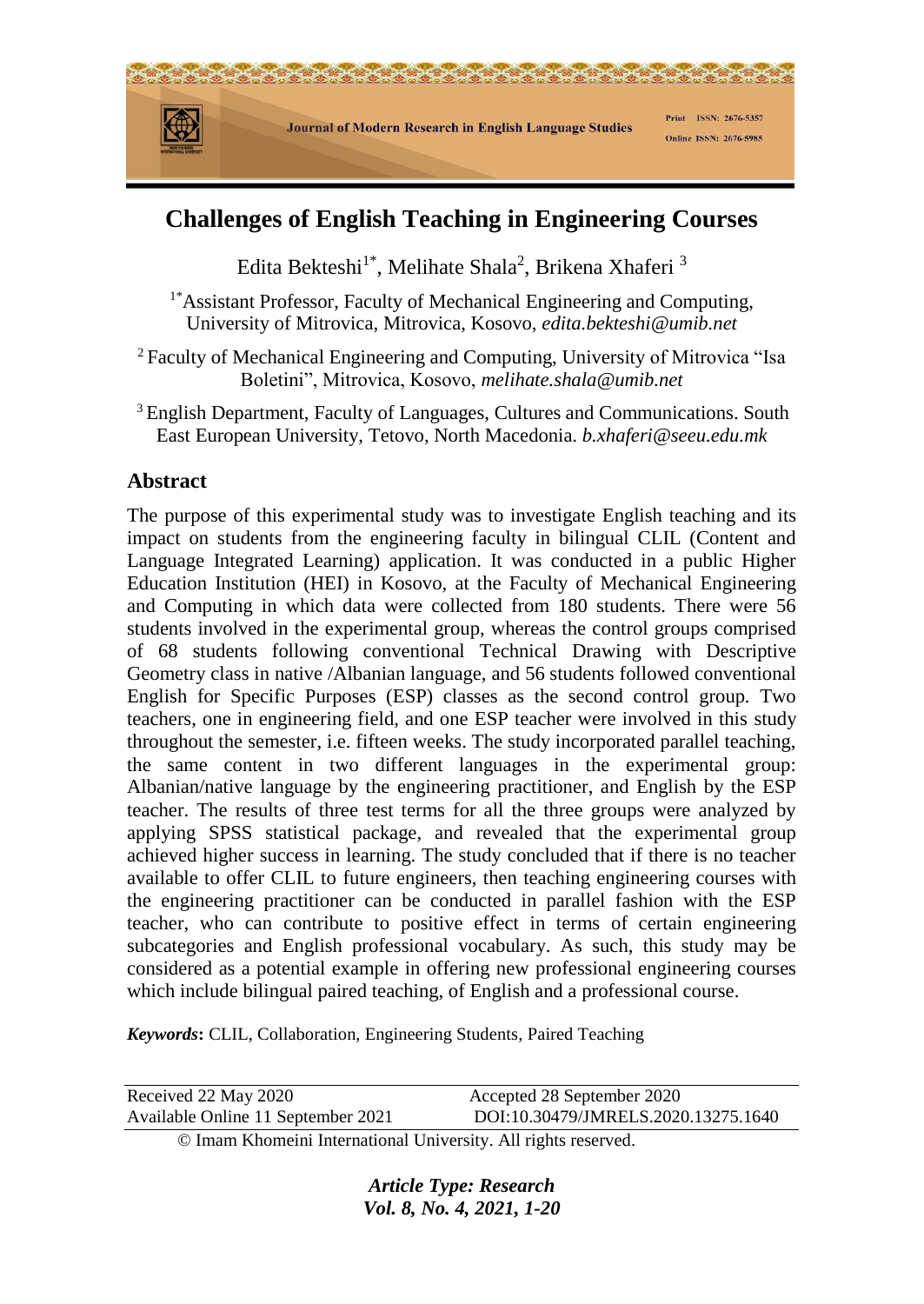

# **Challenges of English Teaching in Engineering Courses**

Edita Bekteshi $^{1*}$ , Melihate Shala<sup>2</sup>, Brikena Xhaferi <sup>3</sup>

<sup>1\*</sup>Assistant Professor, Faculty of Mechanical Engineering and Computing, University of Mitrovica, Mitrovica, Kosovo, *[edita.bekteshi@umib.net](mailto:edita.bekteshi@umib.net)*

- <sup>2</sup> Faculty of Mechanical Engineering and Computing, University of Mitrovica "Isa Boletini", Mitrovica, Kosovo, *melihate.shala@umib.net*
- <sup>3</sup> English Department, Faculty of Languages, Cultures and Communications. South East European University, Tetovo, North Macedonia. *b.xhaferi@seeu.edu.mk*

## **Abstract**

The purpose of this experimental study was to investigate English teaching and its impact on students from the engineering faculty in bilingual CLIL (Content and Language Integrated Learning) application. It was conducted in a public Higher Education Institution (HEI) in Kosovo, at the Faculty of Mechanical Engineering and Computing in which data were collected from 180 students. There were 56 students involved in the experimental group, whereas the control groups comprised of 68 students following conventional Technical Drawing with Descriptive Geometry class in native /Albanian language, and 56 students followed conventional English for Specific Purposes (ESP) classes as the second control group. Two teachers, one in engineering field, and one ESP teacher were involved in this study throughout the semester, i.e. fifteen weeks. The study incorporated parallel teaching, the same content in two different languages in the experimental group: Albanian/native language by the engineering practitioner, and English by the ESP teacher. The results of three test terms for all the three groups were analyzed by applying SPSS statistical package, and revealed that the experimental group achieved higher success in learning. The study concluded that if there is no teacher available to offer CLIL to future engineers, then teaching engineering courses with the engineering practitioner can be conducted in parallel fashion with the ESP teacher, who can contribute to positive effect in terms of certain engineering subcategories and English professional vocabulary. As such, this study may be considered as a potential example in offering new professional engineering courses which include bilingual paired teaching, of English and a professional course.

*Keywords***:** CLIL, Collaboration, Engineering Students, Paired Teaching

| Received 22 May 2020               | Accepted 28 September 2020          |
|------------------------------------|-------------------------------------|
| Available Online 11 September 2021 | DOI:10.30479/JMRELS.2020.13275.1640 |

© Imam Khomeini International University. All rights reserved.

*Article Type: Research Vol. 8, No. 4, 2021, 1-20*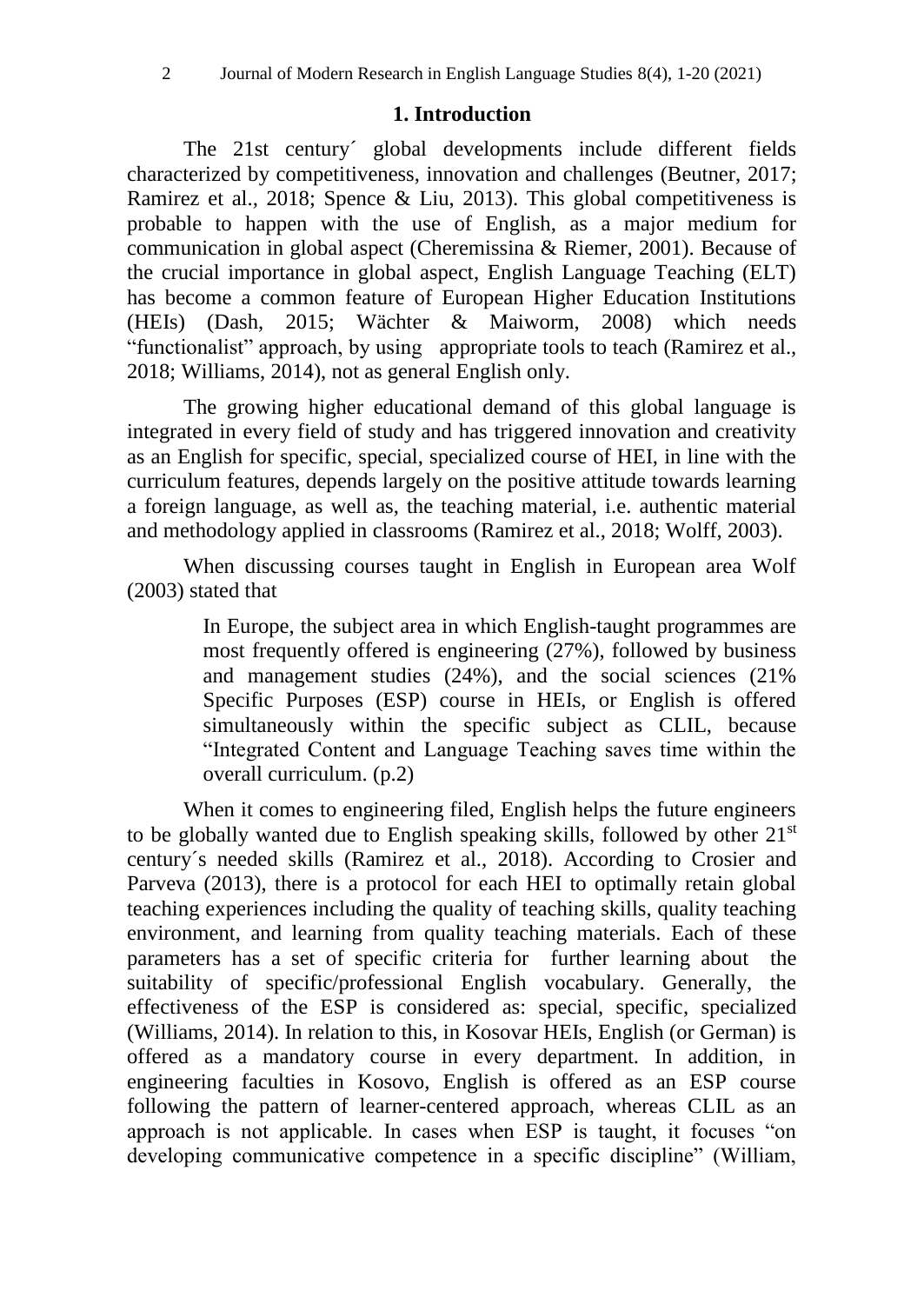### **1. Introduction**

The 21st century´ global developments include different fields characterized by competitiveness, innovation and challenges (Beutner, 2017; Ramirez et al.*,* 2018; Spence & Liu, 2013). This global competitiveness is probable to happen with the use of English, as a major medium for communication in global aspect (Cheremissina & Riemer, 2001). Because of the crucial importance in global aspect, English Language Teaching (ELT) has become a common feature of European Higher Education Institutions (HEIs) (Dash, 2015; Wächter & Maiworm, 2008) which needs "functionalist" approach, by using appropriate tools to teach (Ramirez et al., 2018; Williams, 2014), not as general English only.

The growing higher educational demand of this global language is integrated in every field of study and has triggered innovation and creativity as an English for specific, special, specialized course of HEI, in line with the curriculum features, depends largely on the positive attitude towards learning a foreign language, as well as, the teaching material, i.e. authentic material and methodology applied in classrooms (Ramirez et al., 2018; Wolff, 2003).

When discussing courses taught in English in European area Wolf (2003) stated that

> In Europe, the subject area in which English-taught programmes are most frequently offered is engineering (27%), followed by business and management studies (24%), and the social sciences (21% Specific Purposes (ESP) course in HEIs, or English is offered simultaneously within the specific subject as CLIL, because "Integrated Content and Language Teaching saves time within the overall curriculum. (p.2)

When it comes to engineering filed, English helps the future engineers to be globally wanted due to English speaking skills, followed by other 21<sup>st</sup> century´s needed skills (Ramirez et al., 2018). According to Crosier and Parveva (2013), there is a protocol for each HEI to optimally retain global teaching experiences including the quality of teaching skills, quality teaching environment, and learning from quality teaching materials. Each of these parameters has a set of specific criteria for further learning about the suitability of specific/professional English vocabulary. Generally, the effectiveness of the ESP is considered as: special, specific, specialized (Williams, 2014). In relation to this, in Kosovar HEIs, English (or German) is offered as a mandatory course in every department. In addition, in engineering faculties in Kosovo, English is offered as an ESP course following the pattern of learner-centered approach, whereas CLIL as an approach is not applicable. In cases when ESP is taught, it focuses "on developing communicative competence in a specific discipline" (William,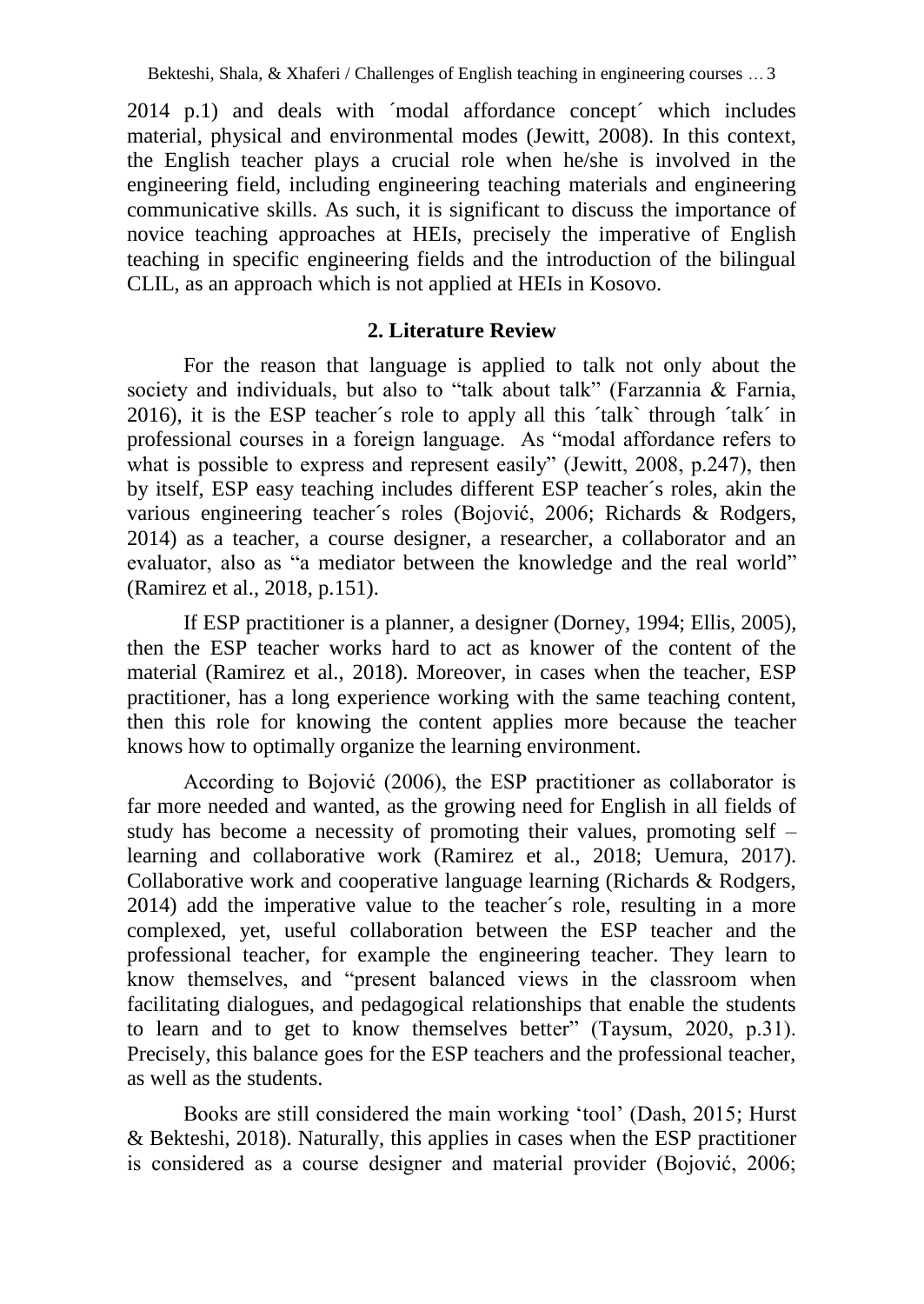2014 p.1) and deals with ´modal affordance concept´ which includes material, physical and environmental modes (Jewitt, 2008). In this context, the English teacher plays a crucial role when he/she is involved in the engineering field, including engineering teaching materials and engineering communicative skills. As such, it is significant to discuss the importance of novice teaching approaches at HEIs, precisely the imperative of English teaching in specific engineering fields and the introduction of the bilingual CLIL, as an approach which is not applied at HEIs in Kosovo.

## **2. Literature Review**

For the reason that language is applied to talk not only about the society and individuals, but also to "talk about talk" (Farzannia & Farnia, 2016), it is the ESP teacher´s role to apply all this ´talk` through ´talk´ in professional courses in a foreign language. As "modal affordance refers to what is possible to express and represent easily" (Jewitt, 2008, p.247), then by itself, ESP easy teaching includes different ESP teacher´s roles, akin the various engineering teacher´s roles (Bojović, 2006; Richards & Rodgers, 2014) as a teacher, a course designer, a researcher, a collaborator and an evaluator, also as "a mediator between the knowledge and the real world" (Ramirez et al., 2018, p.151).

If ESP practitioner is a planner, a designer (Dorney, 1994; Ellis, 2005), then the ESP teacher works hard to act as knower of the content of the material (Ramirez et al., 2018). Moreover, in cases when the teacher, ESP practitioner, has a long experience working with the same teaching content, then this role for knowing the content applies more because the teacher knows how to optimally organize the learning environment.

According to Bojović (2006), the ESP practitioner as collaborator is far more needed and wanted, as the growing need for English in all fields of study has become a necessity of promoting their values, promoting self – learning and collaborative work (Ramirez et al., 2018; Uemura, 2017). Collaborative work and cooperative language learning (Richards & Rodgers, 2014) add the imperative value to the teacher´s role, resulting in a more complexed, yet, useful collaboration between the ESP teacher and the professional teacher, for example the engineering teacher. They learn to know themselves, and "present balanced views in the classroom when facilitating dialogues, and pedagogical relationships that enable the students to learn and to get to know themselves better" (Taysum, 2020, p.31). Precisely, this balance goes for the ESP teachers and the professional teacher, as well as the students.

Books are still considered the main working 'tool' (Dash, 2015; Hurst & Bekteshi, 2018). Naturally, this applies in cases when the ESP practitioner is considered as a course designer and material provider (Bojović, 2006;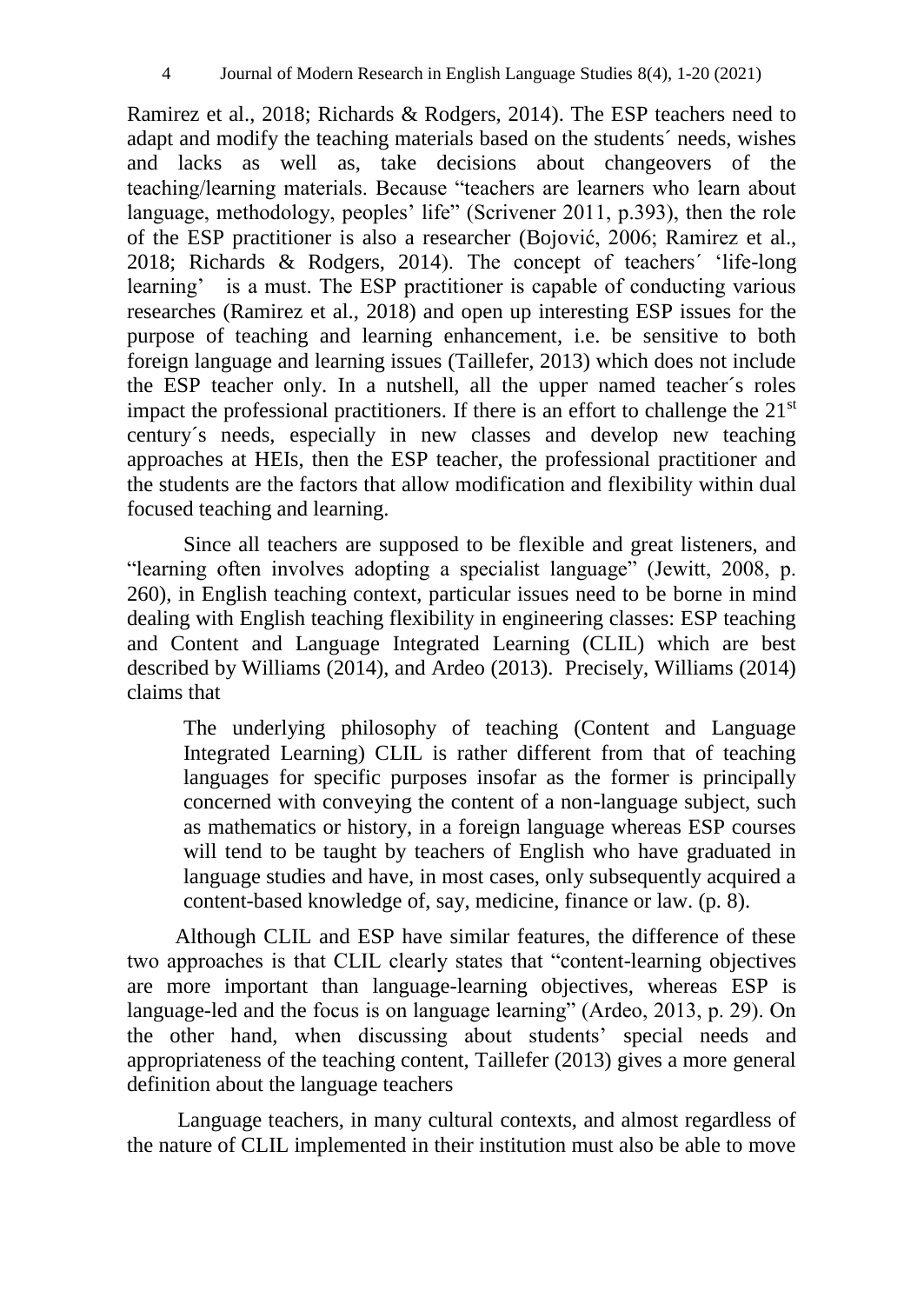Ramirez et al., 2018; Richards & Rodgers, 2014). The ESP teachers need to adapt and modify the teaching materials based on the students´ needs, wishes and lacks as well as, take decisions about changeovers of the teaching/learning materials. Because "teachers are learners who learn about language, methodology, peoples' life" (Scrivener 2011, p.393), then the role of the ESP practitioner is also a researcher (Bojović, 2006; Ramirez et al., 2018; Richards & Rodgers, 2014). The concept of teachers´ 'life-long learning' is a must. The ESP practitioner is capable of conducting various researches (Ramirez et al., 2018) and open up interesting ESP issues for the purpose of teaching and learning enhancement, i.e. be sensitive to both foreign language and learning issues (Taillefer, 2013) which does not include the ESP teacher only. In a nutshell, all the upper named teacher´s roles impact the professional practitioners. If there is an effort to challenge the  $21<sup>st</sup>$ century´s needs, especially in new classes and develop new teaching approaches at HEIs, then the ESP teacher, the professional practitioner and the students are the factors that allow modification and flexibility within dual focused teaching and learning.

Since all teachers are supposed to be flexible and great listeners, and "learning often involves adopting a specialist language" (Jewitt, 2008, p. 260), in English teaching context, particular issues need to be borne in mind dealing with English teaching flexibility in engineering classes: ESP teaching and Content and Language Integrated Learning (CLIL) which are best described by Williams (2014), and Ardeo (2013). Precisely, Williams (2014) claims that

The underlying philosophy of teaching (Content and Language Integrated Learning) CLIL is rather different from that of teaching languages for specific purposes insofar as the former is principally concerned with conveying the content of a non-language subject, such as mathematics or history, in a foreign language whereas ESP courses will tend to be taught by teachers of English who have graduated in language studies and have, in most cases, only subsequently acquired a content-based knowledge of, say, medicine, finance or law. (p. 8).

Although CLIL and ESP have similar features, the difference of these two approaches is that CLIL clearly states that "content-learning objectives are more important than language-learning objectives, whereas ESP is language-led and the focus is on language learning" (Ardeo, 2013, p. 29). On the other hand, when discussing about students' special needs and appropriateness of the teaching content, Taillefer (2013) gives a more general definition about the language teachers

Language teachers, in many cultural contexts, and almost regardless of the nature of CLIL implemented in their institution must also be able to move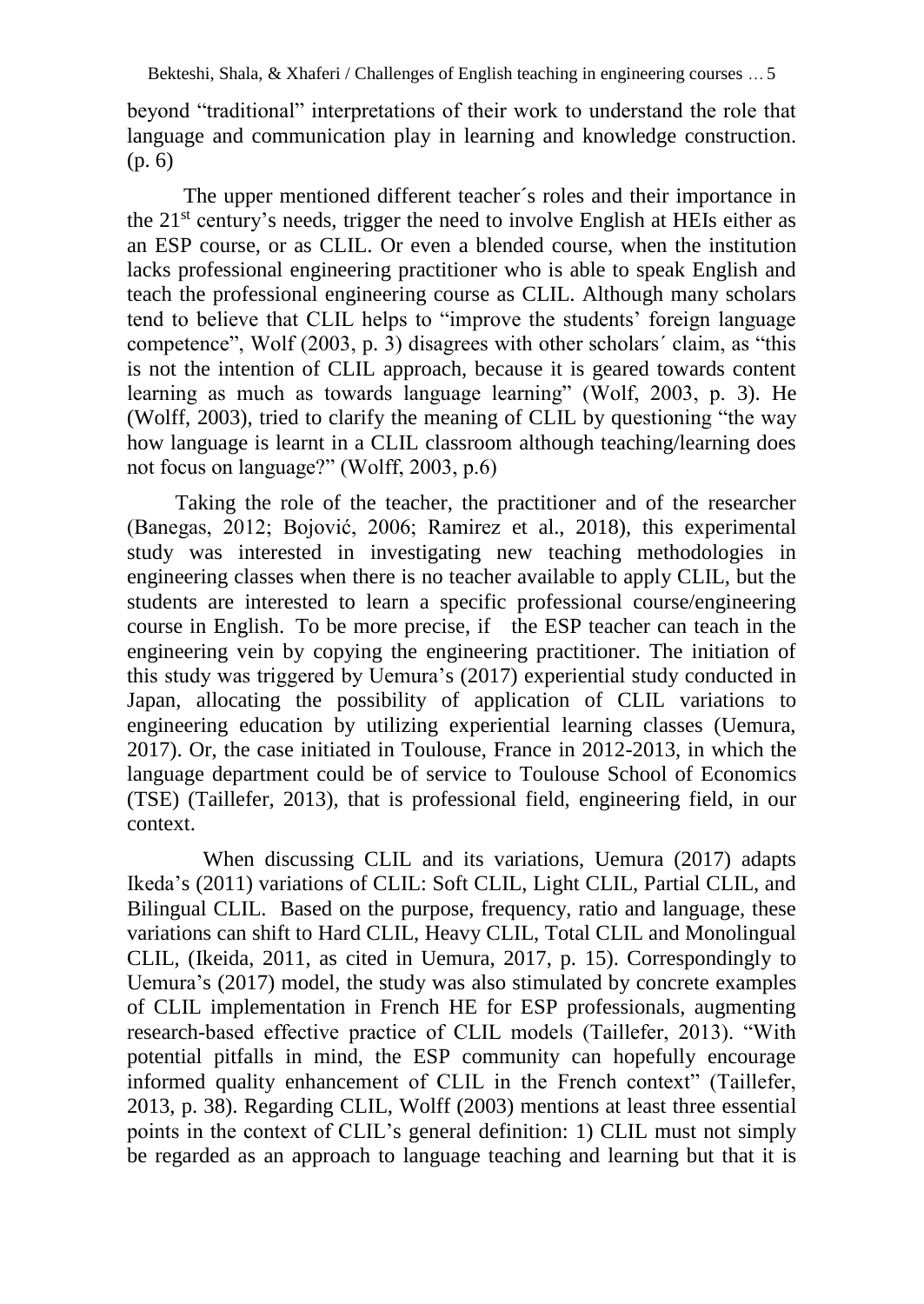beyond "traditional" interpretations of their work to understand the role that language and communication play in learning and knowledge construction. (p. 6)

The upper mentioned different teacher´s roles and their importance in the  $21<sup>st</sup>$  century's needs, trigger the need to involve English at HEIs either as an ESP course, or as CLIL. Or even a blended course, when the institution lacks professional engineering practitioner who is able to speak English and teach the professional engineering course as CLIL. Although many scholars tend to believe that CLIL helps to "improve the students' foreign language competence", Wolf (2003, p. 3) disagrees with other scholars´ claim, as "this is not the intention of CLIL approach, because it is geared towards content learning as much as towards language learning" (Wolf, 2003, p. 3). He (Wolff, 2003), tried to clarify the meaning of CLIL by questioning "the way how language is learnt in a CLIL classroom although teaching/learning does not focus on language?" (Wolff, 2003, p.6)

Taking the role of the teacher, the practitioner and of the researcher (Banegas, 2012; Bojović, 2006; Ramirez et al., 2018), this experimental study was interested in investigating new teaching methodologies in engineering classes when there is no teacher available to apply CLIL, but the students are interested to learn a specific professional course/engineering course in English. To be more precise, if the ESP teacher can teach in the engineering vein by copying the engineering practitioner. The initiation of this study was triggered by Uemura's (2017) experiential study conducted in Japan, allocating the possibility of application of CLIL variations to engineering education by utilizing experiential learning classes (Uemura, 2017). Or, the case initiated in Toulouse, France in 2012-2013, in which the language department could be of service to Toulouse School of Economics (TSE) (Taillefer, 2013), that is professional field, engineering field, in our context.

When discussing CLIL and its variations, Uemura (2017) adapts Ikeda's (2011) variations of CLIL: Soft CLIL, Light CLIL, Partial CLIL, and Bilingual CLIL. Based on the purpose, frequency, ratio and language, these variations can shift to Hard CLIL, Heavy CLIL, Total CLIL and Monolingual CLIL, (Ikeida, 2011, as cited in Uemura, 2017, p. 15). Correspondingly to Uemura's (2017) model, the study was also stimulated by concrete examples of CLIL implementation in French HE for ESP professionals, augmenting research-based effective practice of CLIL models (Taillefer, 2013). "With potential pitfalls in mind, the ESP community can hopefully encourage informed quality enhancement of CLIL in the French context" (Taillefer, 2013, p. 38). Regarding CLIL, Wolff (2003) mentions at least three essential points in the context of CLIL's general definition: 1) CLIL must not simply be regarded as an approach to language teaching and learning but that it is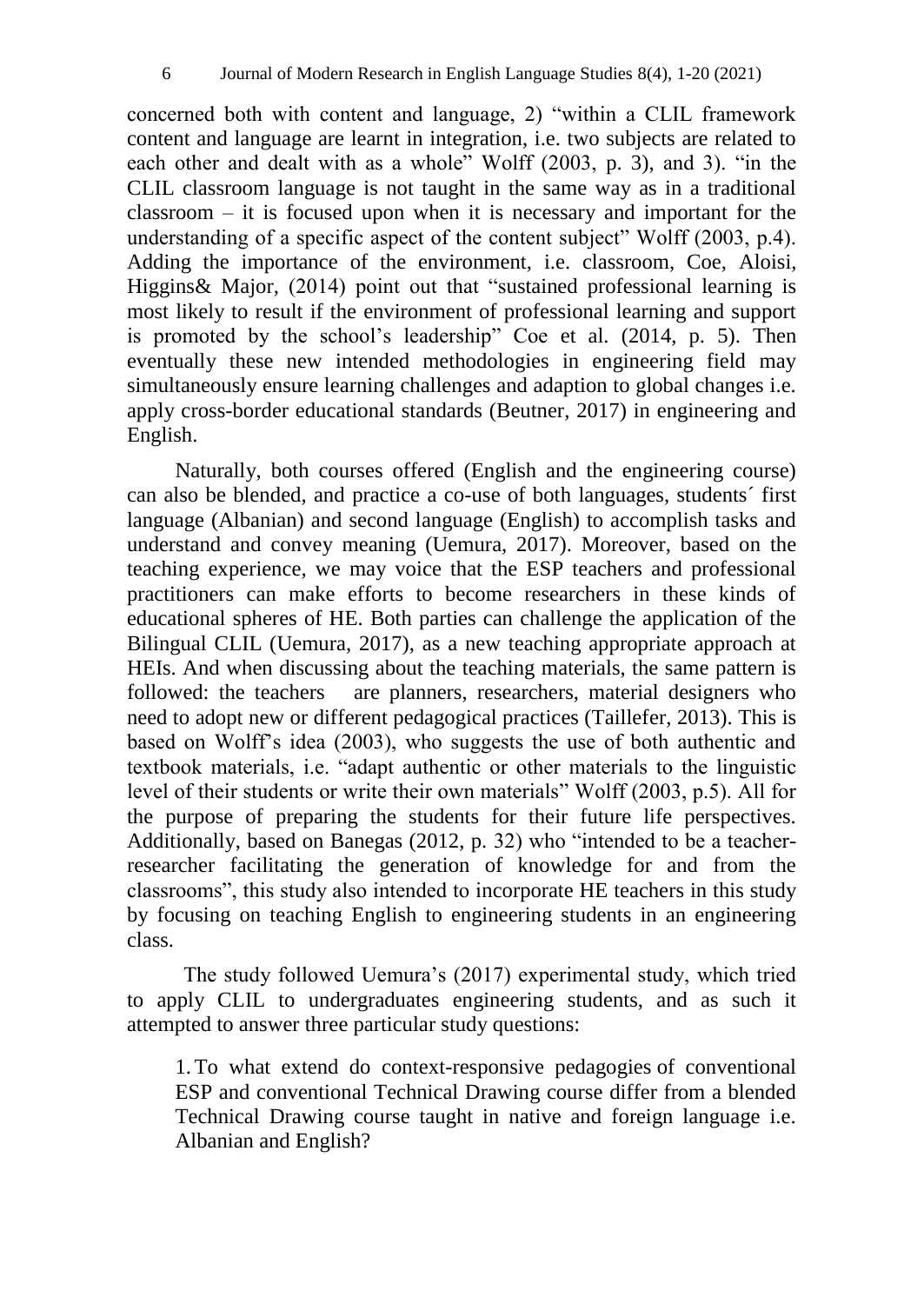concerned both with content and language, 2) "within a CLIL framework content and language are learnt in integration, i.e. two subjects are related to each other and dealt with as a whole" Wolff (2003, p. 3), and 3). "in the CLIL classroom language is not taught in the same way as in a traditional classroom – it is focused upon when it is necessary and important for the understanding of a specific aspect of the content subject" Wolff (2003, p.4). Adding the importance of the environment, i.e. classroom, Coe, Aloisi, Higgins& Major*,* (2014) point out that "sustained professional learning is most likely to result if the environment of professional learning and support is promoted by the school's leadership" Coe et al. (2014, p. 5). Then eventually these new intended methodologies in engineering field may simultaneously ensure learning challenges and adaption to global changes i.e. apply cross-border educational standards (Beutner, 2017) in engineering and English.

Naturally, both courses offered (English and the engineering course) can also be blended, and practice a co-use of both languages, students´ first language (Albanian) and second language (English) to accomplish tasks and understand and convey meaning (Uemura, 2017). Moreover, based on the teaching experience, we may voice that the ESP teachers and professional practitioners can make efforts to become researchers in these kinds of educational spheres of HE. Both parties can challenge the application of the Bilingual CLIL (Uemura, 2017), as a new teaching appropriate approach at HEIs. And when discussing about the teaching materials, the same pattern is followed: the teachers are planners, researchers, material designers who need to adopt new or different pedagogical practices (Taillefer, 2013). This is based on Wolff's idea (2003), who suggests the use of both authentic and textbook materials, i.e. "adapt authentic or other materials to the linguistic level of their students or write their own materials" Wolff (2003, p.5). All for the purpose of preparing the students for their future life perspectives. Additionally, based on Banegas (2012, p. 32) who "intended to be a teacherresearcher facilitating the generation of knowledge for and from the classrooms", this study also intended to incorporate HE teachers in this study by focusing on teaching English to engineering students in an engineering class.

The study followed Uemura's (2017) experimental study, which tried to apply CLIL to undergraduates engineering students, and as such it attempted to answer three particular study questions:

1.To what extend do context-responsive pedagogies of conventional ESP and conventional Technical Drawing course differ from a blended Technical Drawing course taught in native and foreign language i.e. Albanian and English?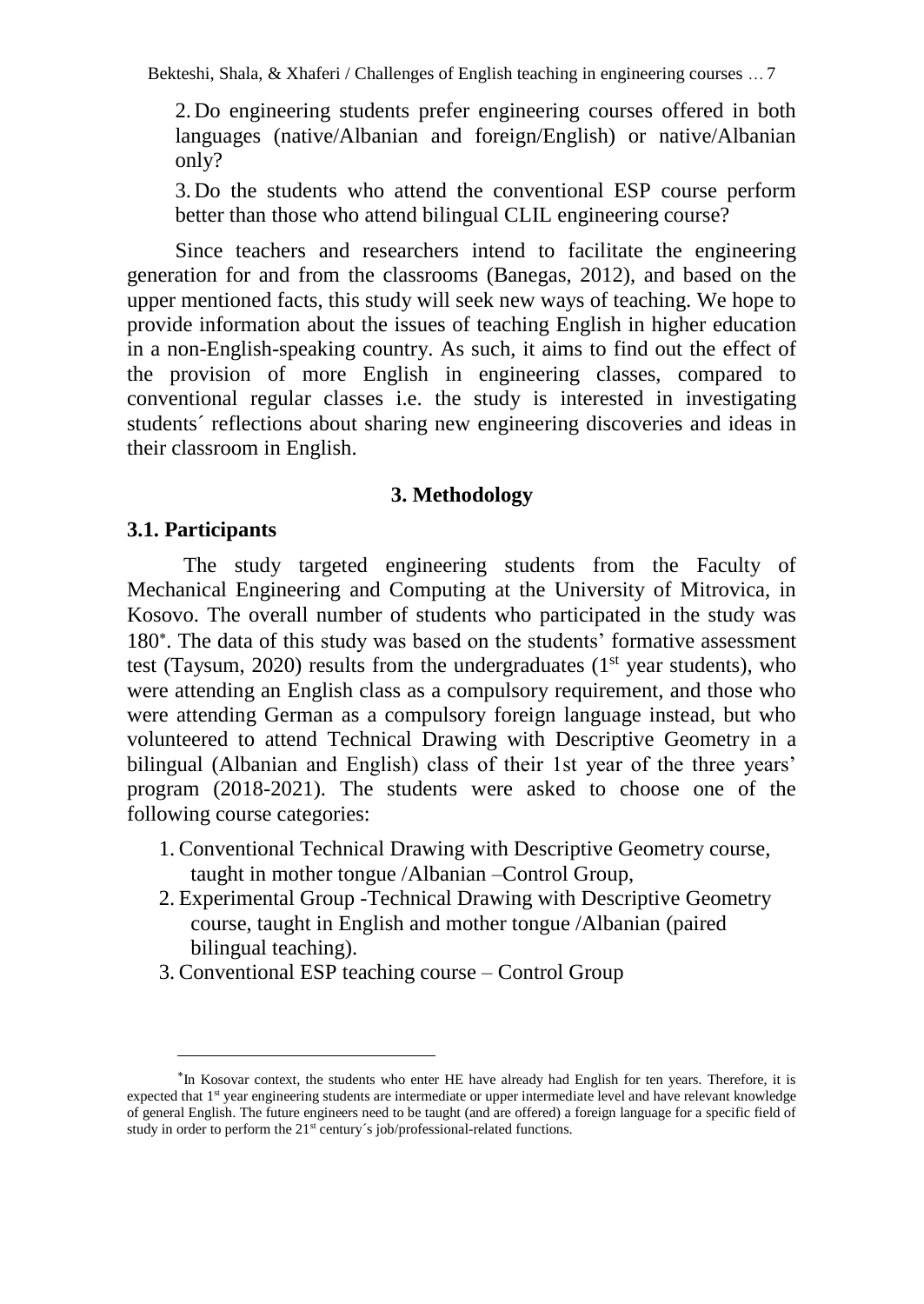2.Do engineering students prefer engineering courses offered in both languages (native/Albanian and foreign/English) or native/Albanian only?

3.Do the students who attend the conventional ESP course perform better than those who attend bilingual CLIL engineering course?

Since teachers and researchers intend to facilitate the engineering generation for and from the classrooms (Banegas, 2012), and based on the upper mentioned facts, this study will seek new ways of teaching. We hope to provide information about the issues of teaching English in higher education in a non-English-speaking country. As such, it aims to find out the effect of the provision of more English in engineering classes, compared to conventional regular classes i.e. the study is interested in investigating students´ reflections about sharing new engineering discoveries and ideas in their classroom in English.

## **3. Methodology**

### **3.1. Participants**

 $\overline{a}$ 

The study targeted engineering students from the Faculty of Mechanical Engineering and Computing at the University of Mitrovica, in Kosovo. The overall number of students who participated in the study was 180 . The data of this study was based on the students' formative assessment test (Taysum, 2020) results from the undergraduates  $(1<sup>st</sup>$  year students), who were attending an English class as a compulsory requirement, and those who were attending German as a compulsory foreign language instead, but who volunteered to attend Technical Drawing with Descriptive Geometry in a bilingual (Albanian and English) class of their 1st year of the three years' program (2018-2021). The students were asked to choose one of the following course categories:

- 1. Conventional Technical Drawing with Descriptive Geometry course, taught in mother tongue /Albanian –Control Group,
- 2. Experimental Group -Technical Drawing with Descriptive Geometry course, taught in English and mother tongue /Albanian (paired bilingual teaching).
- 3. Conventional ESP teaching course Control Group

<sup>&</sup>lt;sup>\*</sup>In Kosovar context, the students who enter HE have already had English for ten years. Therefore, it is expected that 1<sup>st</sup> year engineering students are intermediate or upper intermediate level and have relevant knowledge of general English. The future engineers need to be taught (and are offered) a foreign language for a specific field of study in order to perform the 21<sup>st</sup> century's job/professional-related functions.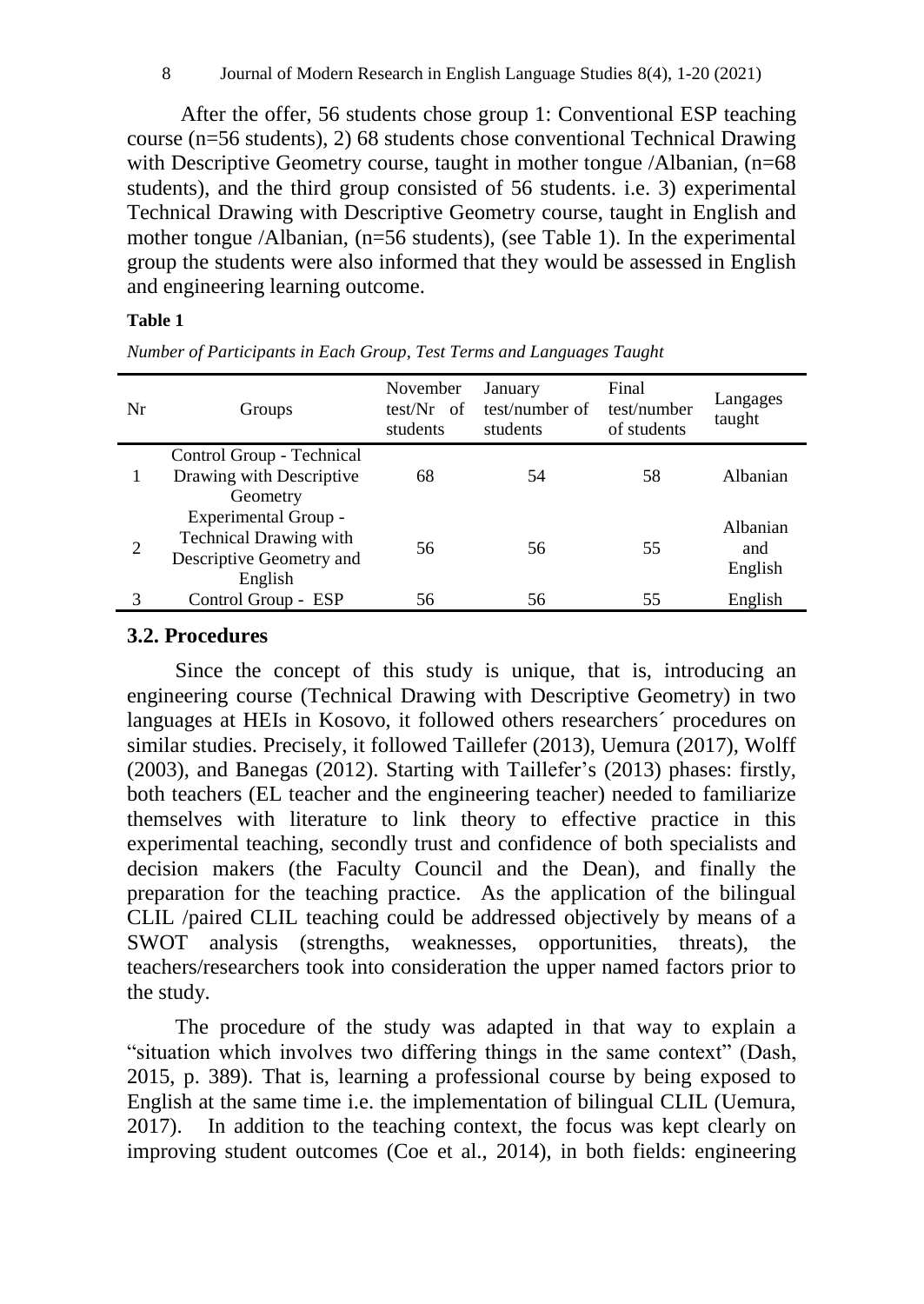After the offer, 56 students chose group 1: Conventional ESP teaching course (n=56 students), 2) 68 students chose conventional Technical Drawing with Descriptive Geometry course, taught in mother tongue /Albanian, (n=68) students), and the third group consisted of 56 students. i.e. 3) experimental Technical Drawing with Descriptive Geometry course, taught in English and mother tongue /Albanian, (n=56 students), (see Table 1). In the experimental group the students were also informed that they would be assessed in English and engineering learning outcome.

### **Table 1**

*Number of Participants in Each Group, Test Terms and Languages Taught*

| Nr | Groups                        | November<br>$test/Nr$ of<br>students | January<br>test/number of<br>students | Final<br>test/number<br>of students | Langages<br>taught |
|----|-------------------------------|--------------------------------------|---------------------------------------|-------------------------------------|--------------------|
|    | Control Group - Technical     |                                      |                                       |                                     |                    |
|    | Drawing with Descriptive      | 68                                   | 54                                    | 58                                  | Albanian           |
|    | Geometry                      |                                      |                                       |                                     |                    |
|    | Experimental Group -          |                                      |                                       |                                     | Albanian           |
| 2  | <b>Technical Drawing with</b> | 56                                   | 56                                    | 55                                  | and                |
|    | Descriptive Geometry and      |                                      |                                       |                                     |                    |
|    | English                       |                                      |                                       |                                     | English            |
|    | Control Group - ESP           | 56                                   | 56                                    | 55                                  | English            |

## **3.2. Procedures**

Since the concept of this study is unique, that is, introducing an engineering course (Technical Drawing with Descriptive Geometry) in two languages at HEIs in Kosovo, it followed others researchers´ procedures on similar studies. Precisely, it followed Taillefer (2013), Uemura (2017), Wolff (2003), and Banegas (2012). Starting with Taillefer's (2013) phases: firstly, both teachers (EL teacher and the engineering teacher) needed to familiarize themselves with literature to link theory to effective practice in this experimental teaching, secondly trust and confidence of both specialists and decision makers (the Faculty Council and the Dean), and finally the preparation for the teaching practice. As the application of the bilingual CLIL /paired CLIL teaching could be addressed objectively by means of a SWOT analysis (strengths, weaknesses, opportunities, threats), the teachers/researchers took into consideration the upper named factors prior to the study.

The procedure of the study was adapted in that way to explain a "situation which involves two differing things in the same context" (Dash, 2015, p. 389). That is, learning a professional course by being exposed to English at the same time i.e. the implementation of bilingual CLIL (Uemura, 2017). In addition to the teaching context, the focus was kept clearly on improving student outcomes (Coe et al., 2014), in both fields: engineering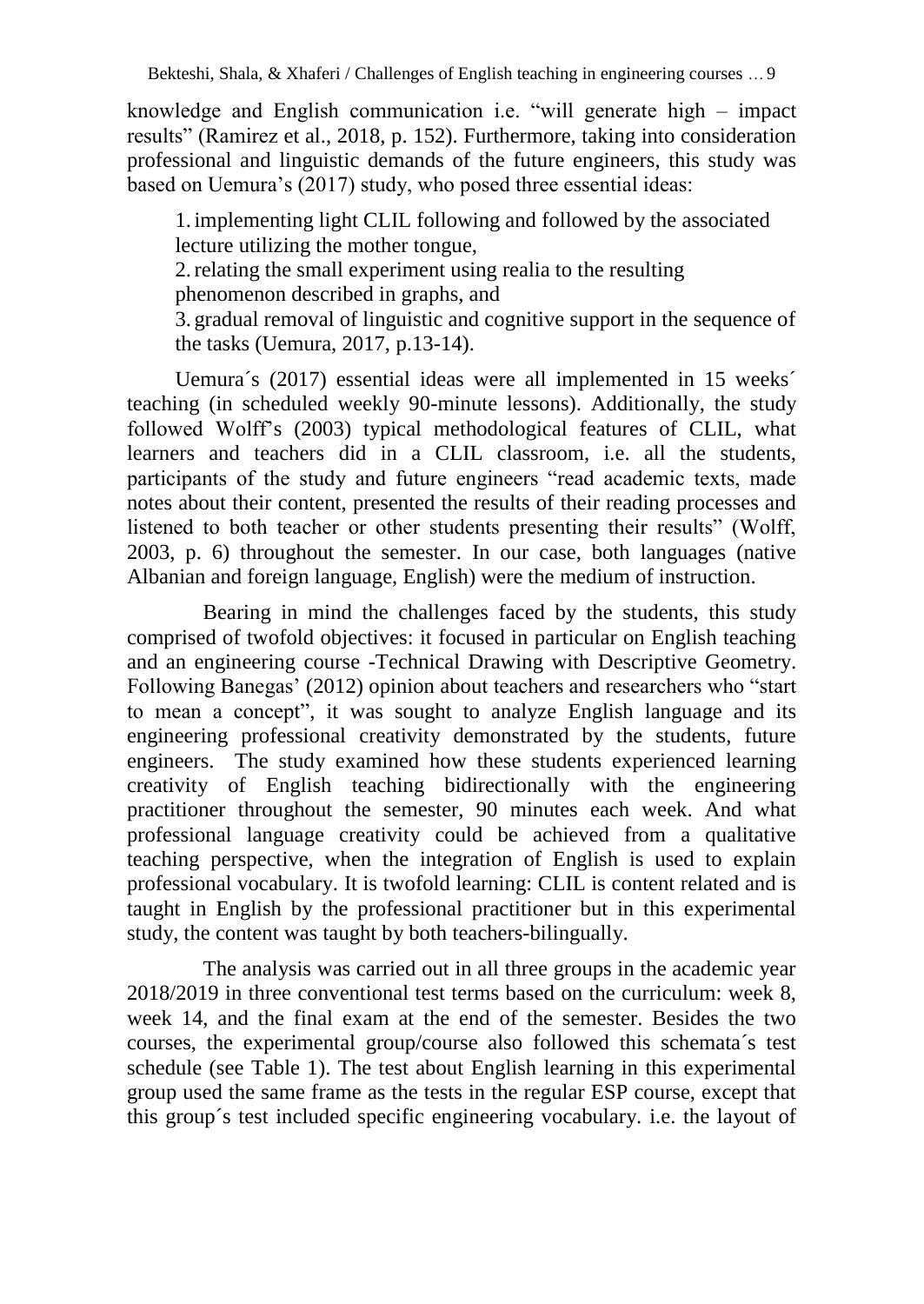knowledge and English communication i.e. "will generate high – impact results" (Ramirez et al., 2018, p. 152). Furthermore, taking into consideration professional and linguistic demands of the future engineers, this study was based on Uemura's (2017) study, who posed three essential ideas:

1. implementing light CLIL following and followed by the associated lecture utilizing the mother tongue,

2.relating the small experiment using realia to the resulting

phenomenon described in graphs, and

3. gradual removal of linguistic and cognitive support in the sequence of the tasks (Uemura, 2017, p.13-14).

Uemura´s (2017) essential ideas were all implemented in 15 weeks´ teaching (in scheduled weekly 90-minute lessons). Additionally, the study followed Wolff's (2003) typical methodological features of CLIL, what learners and teachers did in a CLIL classroom, i.e. all the students, participants of the study and future engineers "read academic texts, made notes about their content, presented the results of their reading processes and listened to both teacher or other students presenting their results" (Wolff, 2003, p. 6) throughout the semester. In our case, both languages (native Albanian and foreign language, English) were the medium of instruction.

Bearing in mind the challenges faced by the students, this study comprised of twofold objectives: it focused in particular on English teaching and an engineering course -Technical Drawing with Descriptive Geometry. Following Banegas' (2012) opinion about teachers and researchers who "start to mean a concept", it was sought to analyze English language and its engineering professional creativity demonstrated by the students, future engineers. The study examined how these students experienced learning creativity of English teaching bidirectionally with the engineering practitioner throughout the semester, 90 minutes each week. And what professional language creativity could be achieved from a qualitative teaching perspective, when the integration of English is used to explain professional vocabulary. It is twofold learning: CLIL is content related and is taught in English by the professional practitioner but in this experimental study, the content was taught by both teachers-bilingually.

The analysis was carried out in all three groups in the academic year 2018/2019 in three conventional test terms based on the curriculum: week 8, week 14, and the final exam at the end of the semester. Besides the two courses, the experimental group/course also followed this schemata´s test schedule (see Table 1). The test about English learning in this experimental group used the same frame as the tests in the regular ESP course, except that this group´s test included specific engineering vocabulary. i.e. the layout of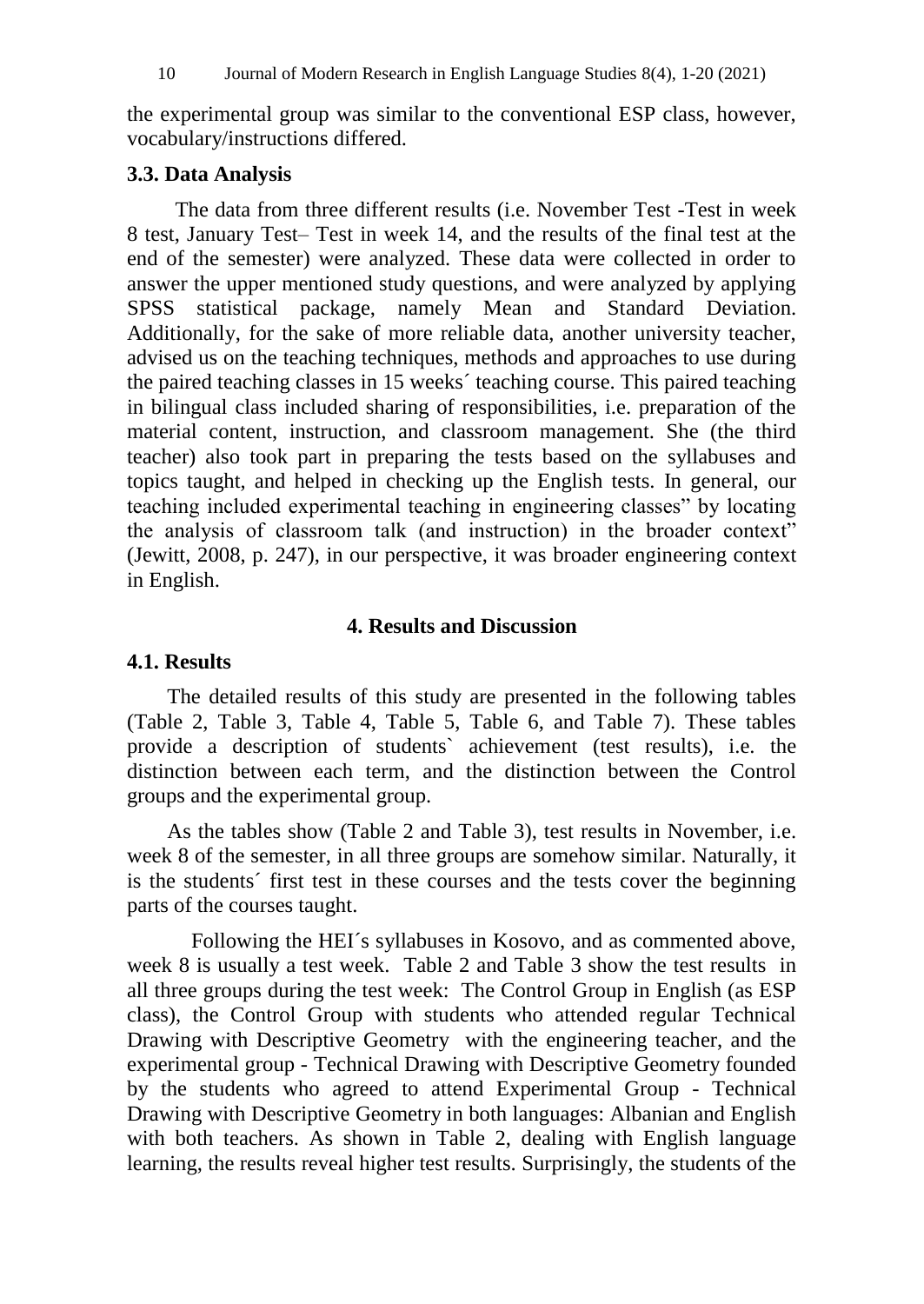the experimental group was similar to the conventional ESP class, however, vocabulary/instructions differed.

## **3.3. Data Analysis**

The data from three different results (i.e. November Test -Test in week 8 test, January Test– Test in week 14, and the results of the final test at the end of the semester) were analyzed. These data were collected in order to answer the upper mentioned study questions, and were analyzed by applying SPSS statistical package, namely Mean and Standard Deviation. Additionally, for the sake of more reliable data, another university teacher, advised us on the teaching techniques, methods and approaches to use during the paired teaching classes in 15 weeks´ teaching course. This paired teaching in bilingual class included sharing of responsibilities, i.e. preparation of the material content, instruction, and classroom management. She (the third teacher) also took part in preparing the tests based on the syllabuses and topics taught, and helped in checking up the English tests. In general, our teaching included experimental teaching in engineering classes" by locating the analysis of classroom talk (and instruction) in the broader context" (Jewitt, 2008, p. 247), in our perspective, it was broader engineering context in English.

## **4. Results and Discussion**

## **4.1. Results**

The detailed results of this study are presented in the following tables (Table 2, Table 3, Table 4, Table 5, Table 6, and Table 7). These tables provide a description of students` achievement (test results), i.e. the distinction between each term, and the distinction between the Control groups and the experimental group.

As the tables show (Table 2 and Table 3), test results in November, i.e. week 8 of the semester, in all three groups are somehow similar. Naturally, it is the students´ first test in these courses and the tests cover the beginning parts of the courses taught.

Following the HEI´s syllabuses in Kosovo, and as commented above, week 8 is usually a test week. Table 2 and Table 3 show the test results in all three groups during the test week: The Control Group in English (as ESP class), the Control Group with students who attended regular Technical Drawing with Descriptive Geometry with the engineering teacher, and the experimental group - Technical Drawing with Descriptive Geometry founded by the students who agreed to attend Experimental Group - Technical Drawing with Descriptive Geometry in both languages: Albanian and English with both teachers. As shown in Table 2, dealing with English language learning, the results reveal higher test results. Surprisingly, the students of the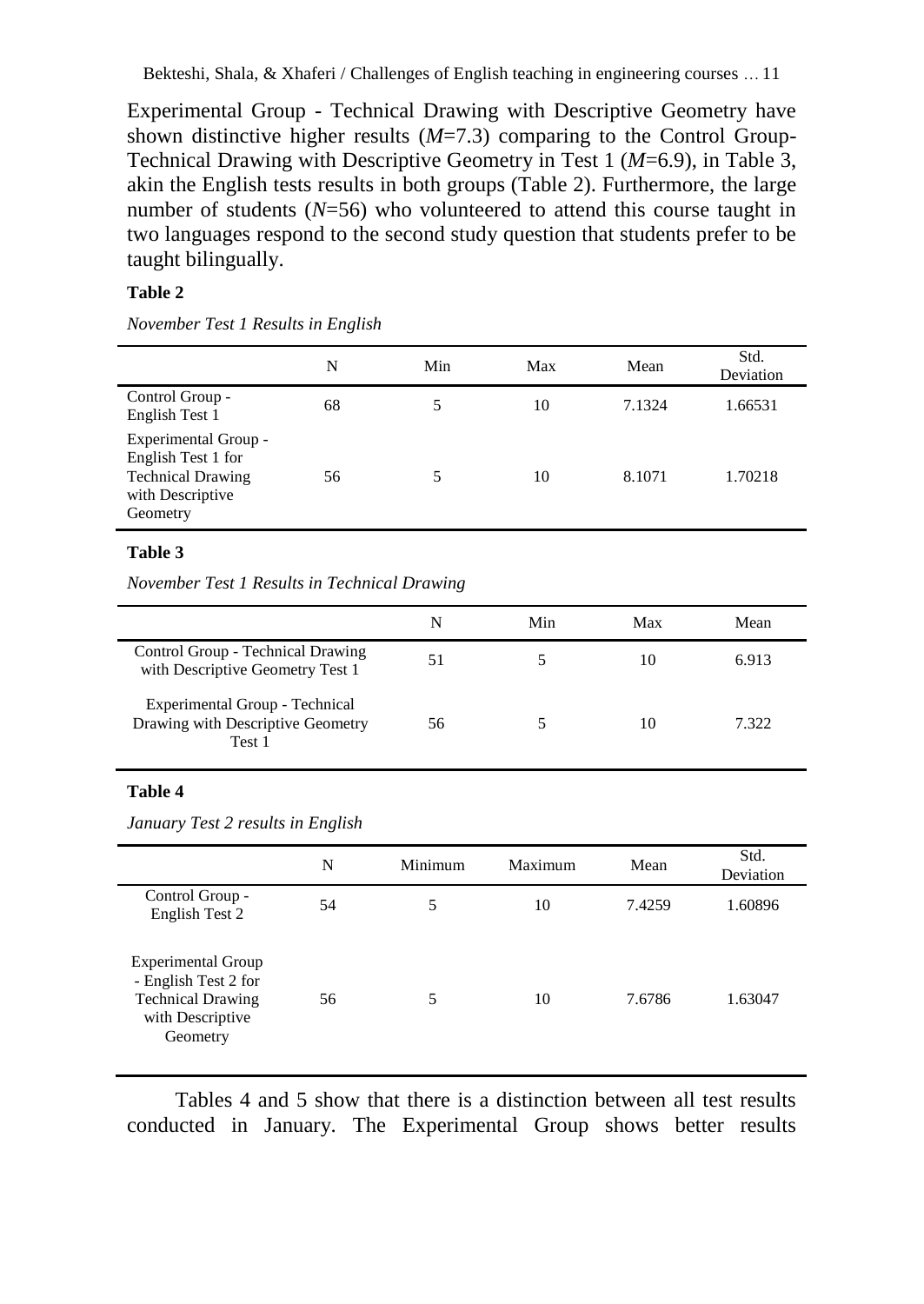Experimental Group - Technical Drawing with Descriptive Geometry have shown distinctive higher results (*M*=7.3) comparing to the Control Group-Technical Drawing with Descriptive Geometry in Test 1 (*M*=6.9), in Table 3, akin the English tests results in both groups (Table 2). Furthermore, the large number of students  $(N=56)$  who volunteered to attend this course taught in two languages respond to the second study question that students prefer to be taught bilingually.

#### **Table 2**

*November Test 1 Results in English*

|                                                                                                        | N  | Min | Max | Mean   | Std.<br>Deviation |
|--------------------------------------------------------------------------------------------------------|----|-----|-----|--------|-------------------|
| Control Group -<br>English Test 1                                                                      | 68 | 5   | 10  | 7.1324 | 1.66531           |
| Experimental Group -<br>English Test 1 for<br><b>Technical Drawing</b><br>with Descriptive<br>Geometry | 56 | 5   | 10  | 8.1071 | 1.70218           |

#### **Table 3**

*November Test 1 Results in Technical Drawing*

|                                                                               | N  | Min | Max | Mean  |
|-------------------------------------------------------------------------------|----|-----|-----|-------|
| Control Group - Technical Drawing<br>with Descriptive Geometry Test 1         | 51 |     | 10  | 6.913 |
| Experimental Group - Technical<br>Drawing with Descriptive Geometry<br>Test 1 | 56 |     | 10  | 7.322 |

#### **Table 4**

*January Test 2 results in English*

|                                                                                                               | N  | Minimum | Maximum | Mean   | Std.<br>Deviation |
|---------------------------------------------------------------------------------------------------------------|----|---------|---------|--------|-------------------|
| Control Group -<br>English Test 2                                                                             | 54 | 5       | 10      | 7.4259 | 1.60896           |
| <b>Experimental Group</b><br>- English Test 2 for<br><b>Technical Drawing</b><br>with Descriptive<br>Geometry | 56 | 5       | 10      | 7.6786 | 1.63047           |

Tables 4 and 5 show that there is a distinction between all test results conducted in January. The Experimental Group shows better results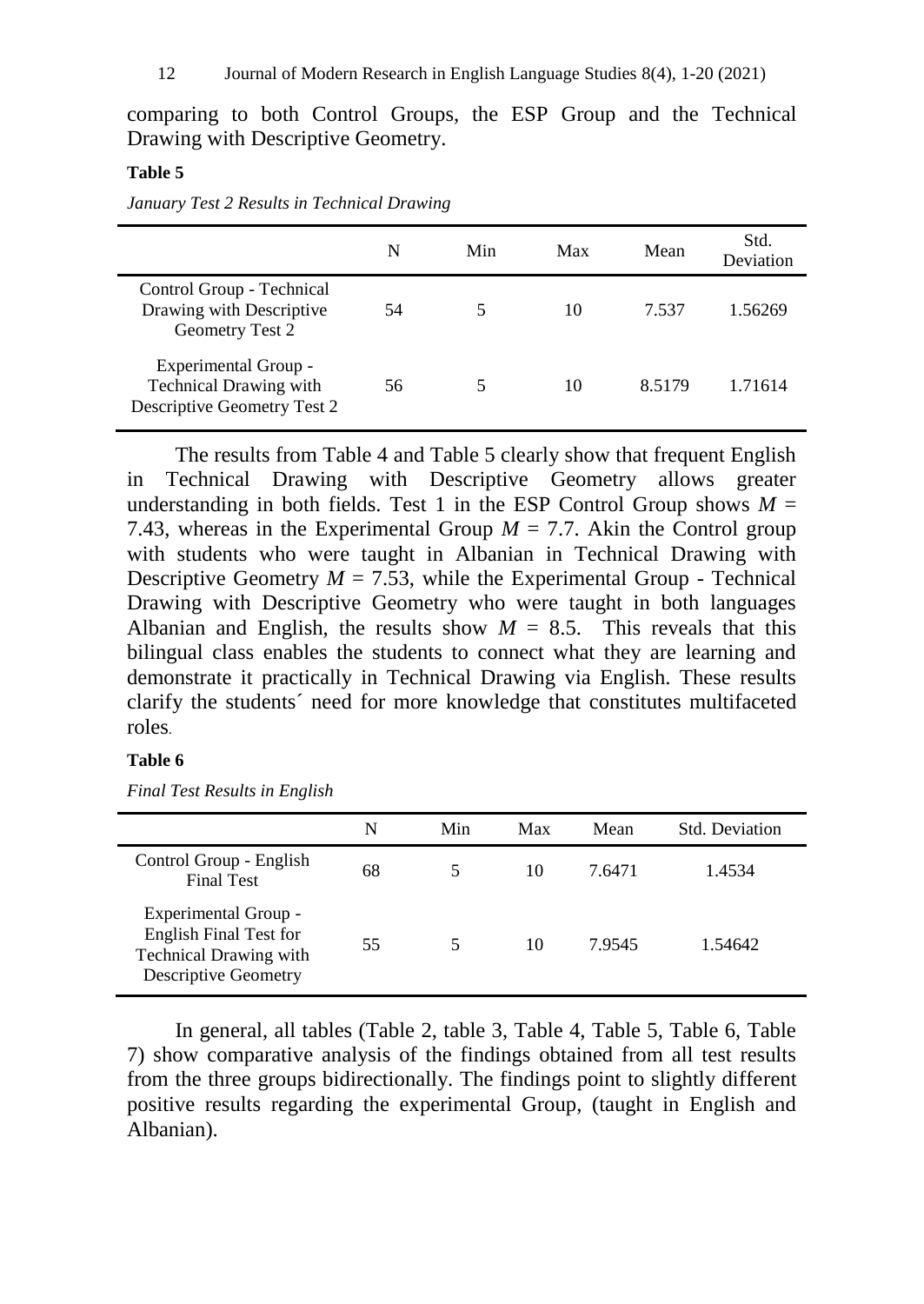comparing to both Control Groups, the ESP Group and the Technical Drawing with Descriptive Geometry.

#### **Table 5**

| January Test 2 Results in Technical Drawing |  |  |  |  |  |  |
|---------------------------------------------|--|--|--|--|--|--|
|---------------------------------------------|--|--|--|--|--|--|

|                                                                                      | N  | Min | Max | Mean   | Std.<br>Deviation |
|--------------------------------------------------------------------------------------|----|-----|-----|--------|-------------------|
| Control Group - Technical<br>Drawing with Descriptive<br>Geometry Test 2             | 54 | 5   | 10  | 7.537  | 1.56269           |
| Experimental Group -<br><b>Technical Drawing with</b><br>Descriptive Geometry Test 2 | 56 |     | 10  | 8.5179 | 1.71614           |

The results from Table 4 and Table 5 clearly show that frequent English in Technical Drawing with Descriptive Geometry allows greater understanding in both fields. Test 1 in the ESP Control Group shows  $M =$ 7.43, whereas in the Experimental Group  $M = 7.7$ . Akin the Control group with students who were taught in Albanian in Technical Drawing with Descriptive Geometry  $M = 7.53$ , while the Experimental Group - Technical Drawing with Descriptive Geometry who were taught in both languages Albanian and English, the results show  $M = 8.5$ . This reveals that this bilingual class enables the students to connect what they are learning and demonstrate it practically in Technical Drawing via English. These results clarify the students´ need for more knowledge that constitutes multifaceted roles.

#### **Table 6**

*Final Test Results in English*

|                                                                                                                | N  | Min | Max | Mean   | Std. Deviation |
|----------------------------------------------------------------------------------------------------------------|----|-----|-----|--------|----------------|
| Control Group - English<br><b>Final Test</b>                                                                   | 68 | 5.  | 10  | 7.6471 | 1.4534         |
| Experimental Group -<br><b>English Final Test for</b><br>Technical Drawing with<br><b>Descriptive Geometry</b> | 55 | 5.  | 10  | 7.9545 | 1.54642        |

In general, all tables (Table 2, table 3, Table 4, Table 5, Table 6, Table 7) show comparative analysis of the findings obtained from all test results from the three groups bidirectionally. The findings point to slightly different positive results regarding the experimental Group, (taught in English and Albanian).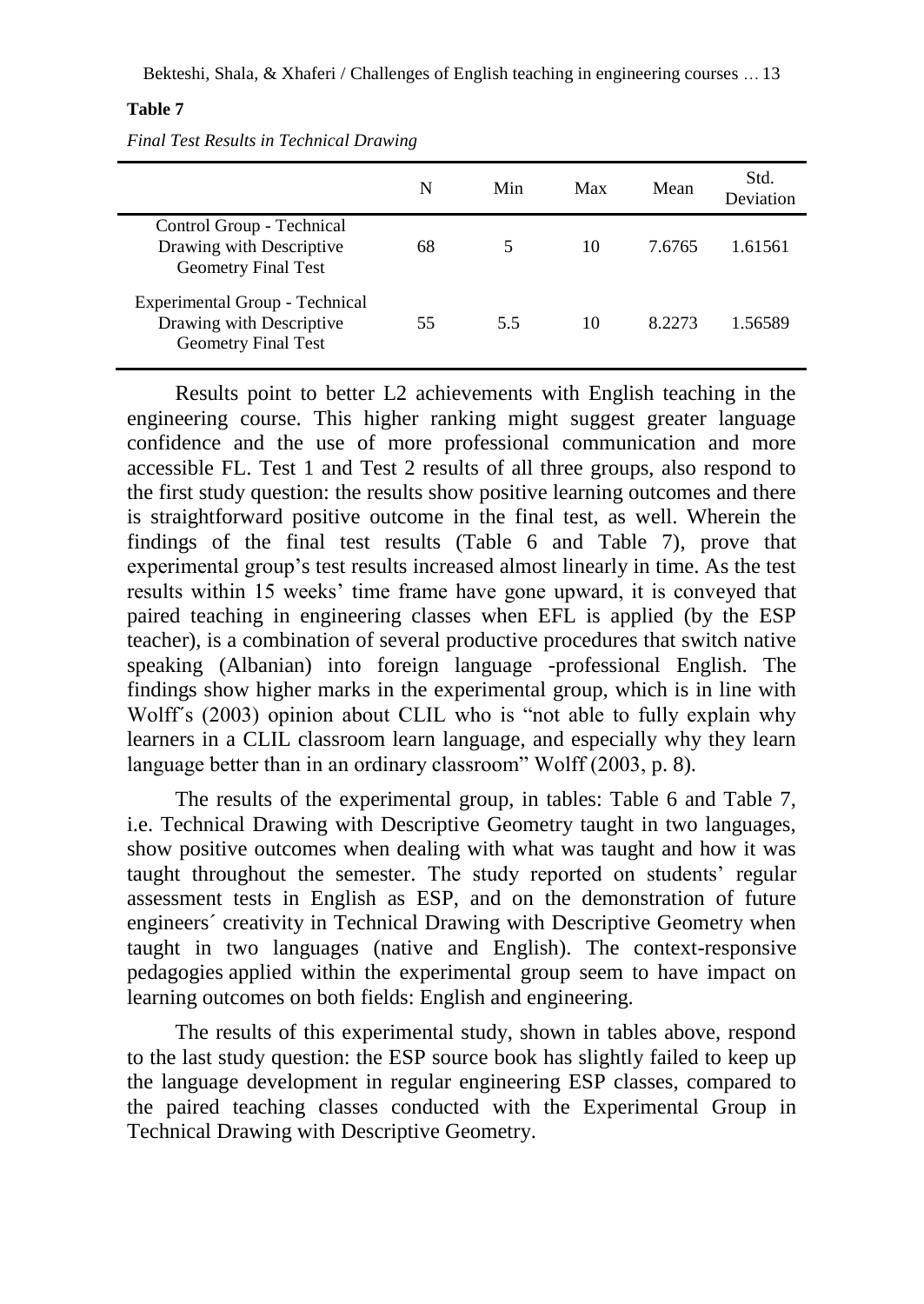#### **Table 7**

*Final Test Results in Technical Drawing*

|                                                                                          | N  | Min | Max | Mean   | Std.<br>Deviation |
|------------------------------------------------------------------------------------------|----|-----|-----|--------|-------------------|
| Control Group - Technical<br>Drawing with Descriptive<br><b>Geometry Final Test</b>      | 68 | 5   | 10  | 7.6765 | 1.61561           |
| Experimental Group - Technical<br>Drawing with Descriptive<br><b>Geometry Final Test</b> | 55 | 5.5 | 10  | 8.2273 | 1.56589           |

Results point to better L2 achievements with English teaching in the engineering course. This higher ranking might suggest greater language confidence and the use of more professional communication and more accessible FL. Test 1 and Test 2 results of all three groups, also respond to the first study question: the results show positive learning outcomes and there is straightforward positive outcome in the final test, as well. Wherein the findings of the final test results (Table 6 and Table 7), prove that experimental group's test results increased almost linearly in time. As the test results within 15 weeks' time frame have gone upward, it is conveyed that paired teaching in engineering classes when EFL is applied (by the ESP teacher), is a combination of several productive procedures that switch native speaking (Albanian) into foreign language -professional English. The findings show higher marks in the experimental group, which is in line with Wolff´s (2003) opinion about CLIL who is "not able to fully explain why learners in a CLIL classroom learn language, and especially why they learn language better than in an ordinary classroom" Wolff (2003, p. 8).

The results of the experimental group, in tables: Table 6 and Table 7, i.e. Technical Drawing with Descriptive Geometry taught in two languages, show positive outcomes when dealing with what was taught and how it was taught throughout the semester. The study reported on students' regular assessment tests in English as ESP, and on the demonstration of future engineers´ creativity in Technical Drawing with Descriptive Geometry when taught in two languages (native and English). The context-responsive pedagogies applied within the experimental group seem to have impact on learning outcomes on both fields: English and engineering.

The results of this experimental study, shown in tables above, respond to the last study question: the ESP source book has slightly failed to keep up the language development in regular engineering ESP classes, compared to the paired teaching classes conducted with the Experimental Group in Technical Drawing with Descriptive Geometry.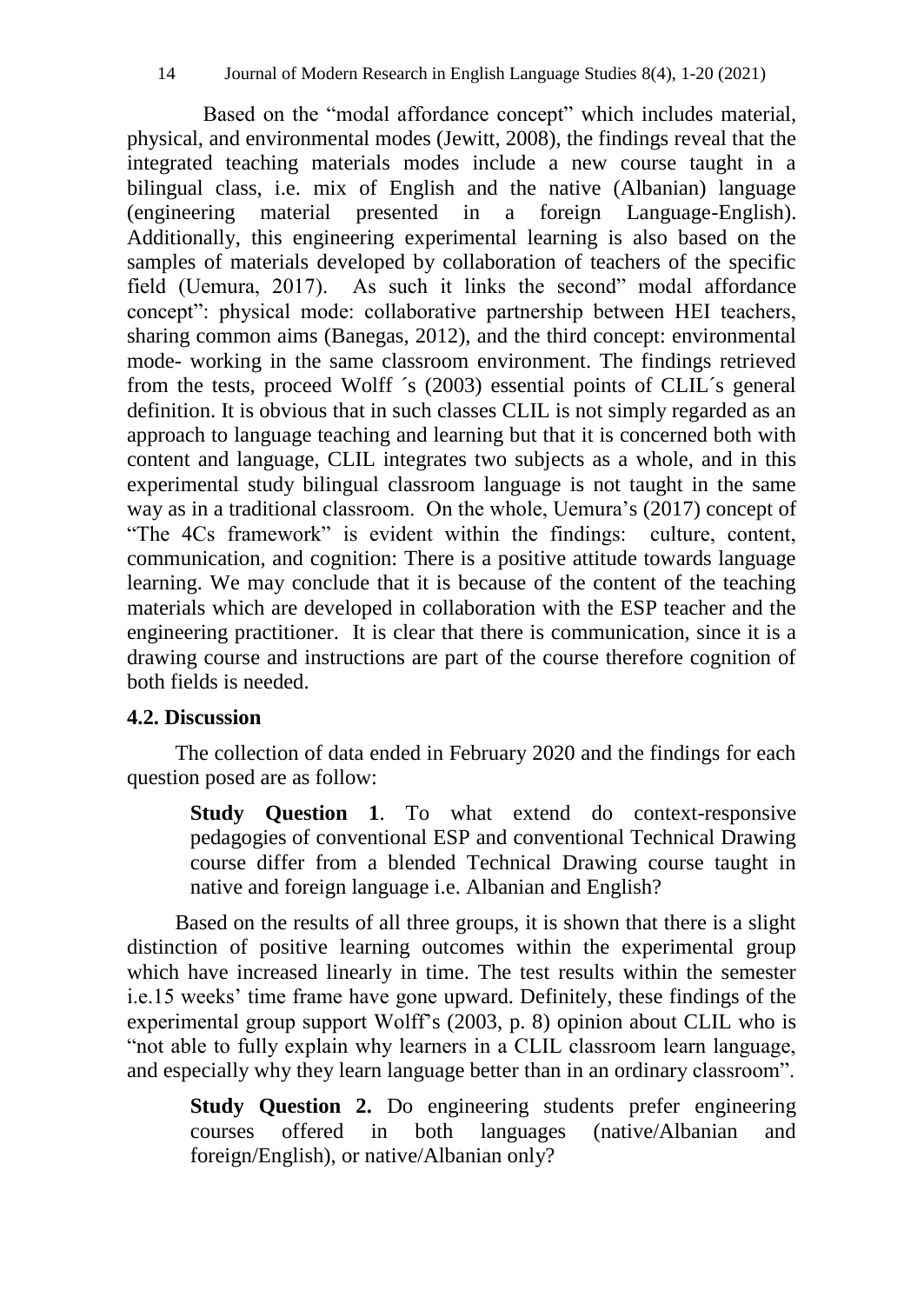Based on the "modal affordance concept" which includes material, physical, and environmental modes (Jewitt, 2008), the findings reveal that the integrated teaching materials modes include a new course taught in a bilingual class, i.e. mix of English and the native (Albanian) language (engineering material presented in a foreign Language-English). Additionally, this engineering experimental learning is also based on the samples of materials developed by collaboration of teachers of the specific field (Uemura, 2017). As such it links the second" modal affordance concept": physical mode: collaborative partnership between HEI teachers, sharing common aims (Banegas, 2012), and the third concept: environmental mode- working in the same classroom environment. The findings retrieved from the tests, proceed Wolff ´s (2003) essential points of CLIL´s general definition. It is obvious that in such classes CLIL is not simply regarded as an approach to language teaching and learning but that it is concerned both with content and language, CLIL integrates two subjects as a whole, and in this experimental study bilingual classroom language is not taught in the same way as in a traditional classroom. On the whole, Uemura's (2017) concept of "The 4Cs framework" is evident within the findings: culture, content, communication, and cognition: There is a positive attitude towards language learning. We may conclude that it is because of the content of the teaching materials which are developed in collaboration with the ESP teacher and the engineering practitioner. It is clear that there is communication, since it is a drawing course and instructions are part of the course therefore cognition of both fields is needed.

## **4.2. Discussion**

The collection of data ended in February 2020 and the findings for each question posed are as follow:

**Study Question 1**. To what extend do context-responsive pedagogies of conventional ESP and conventional Technical Drawing course differ from a blended Technical Drawing course taught in native and foreign language i.e. Albanian and English?

Based on the results of all three groups, it is shown that there is a slight distinction of positive learning outcomes within the experimental group which have increased linearly in time. The test results within the semester i.e.15 weeks' time frame have gone upward. Definitely, these findings of the experimental group support Wolff's (2003, p. 8) opinion about CLIL who is "not able to fully explain why learners in a CLIL classroom learn language, and especially why they learn language better than in an ordinary classroom".

**Study Question 2.** Do engineering students prefer engineering courses offered in both languages (native/Albanian and foreign/English), or native/Albanian only?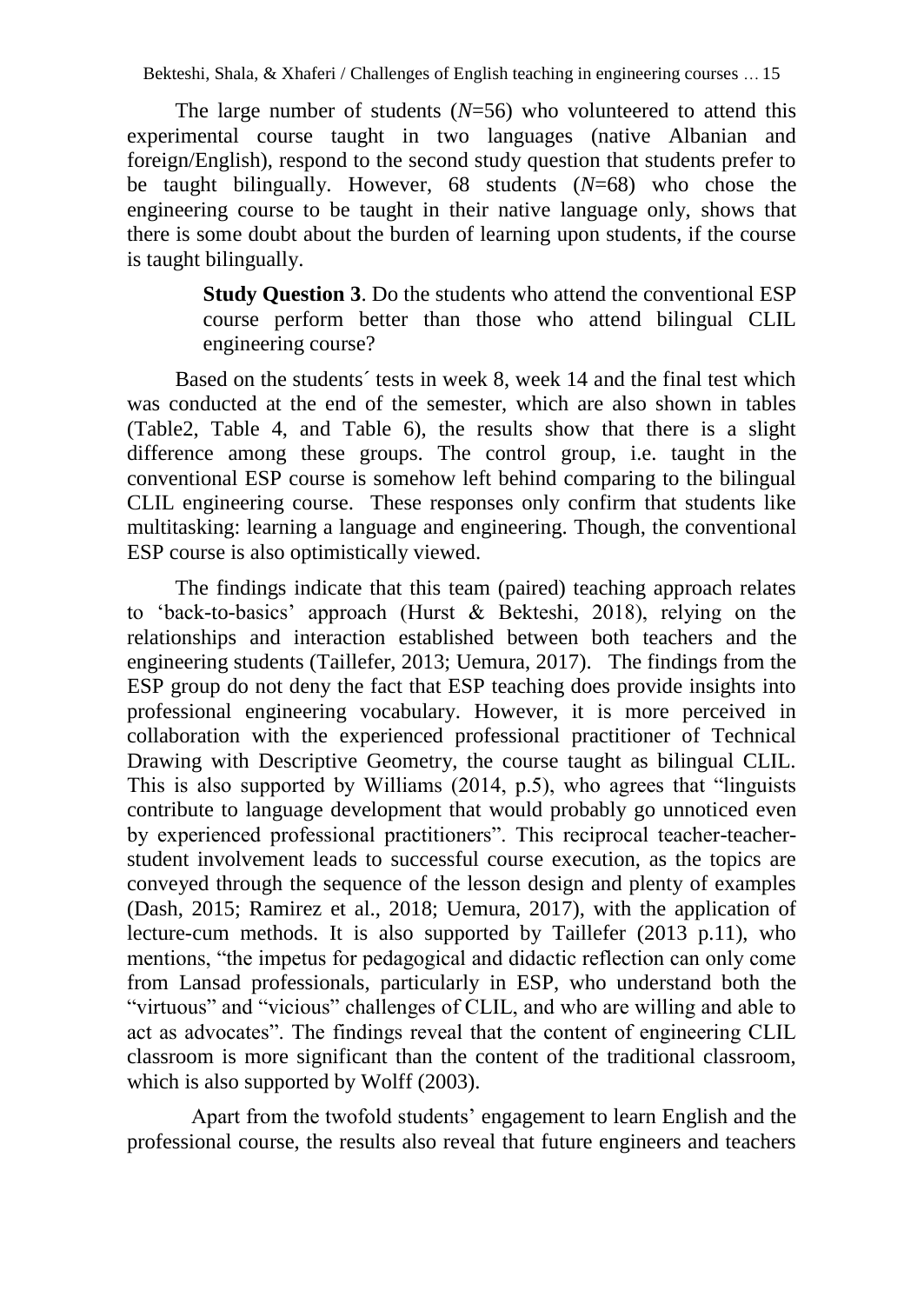The large number of students (*N*=56) who volunteered to attend this experimental course taught in two languages (native Albanian and foreign/English), respond to the second study question that students prefer to be taught bilingually. However, 68 students (*N*=68) who chose the engineering course to be taught in their native language only, shows that there is some doubt about the burden of learning upon students, if the course is taught bilingually.

> **Study Question 3**. Do the students who attend the conventional ESP course perform better than those who attend bilingual CLIL engineering course?

Based on the students´ tests in week 8, week 14 and the final test which was conducted at the end of the semester, which are also shown in tables (Table2, Table 4, and Table 6), the results show that there is a slight difference among these groups. The control group, i.e. taught in the conventional ESP course is somehow left behind comparing to the bilingual CLIL engineering course. These responses only confirm that students like multitasking: learning a language and engineering. Though, the conventional ESP course is also optimistically viewed.

The findings indicate that this team (paired) teaching approach relates to 'back-to-basics' approach (Hurst & Bekteshi, 2018), relying on the relationships and interaction established between both teachers and the engineering students (Taillefer, 2013; Uemura, 2017). The findings from the ESP group do not deny the fact that ESP teaching does provide insights into professional engineering vocabulary. However, it is more perceived in collaboration with the experienced professional practitioner of Technical Drawing with Descriptive Geometry, the course taught as bilingual CLIL. This is also supported by Williams (2014, p.5), who agrees that "linguists contribute to language development that would probably go unnoticed even by experienced professional practitioners". This reciprocal teacher-teacherstudent involvement leads to successful course execution, as the topics are conveyed through the sequence of the lesson design and plenty of examples (Dash, 2015; Ramirez et al., 2018; Uemura, 2017), with the application of lecture-cum methods. It is also supported by Taillefer (2013 p.11), who mentions, "the impetus for pedagogical and didactic reflection can only come from Lansad professionals, particularly in ESP, who understand both the "virtuous" and "vicious" challenges of CLIL, and who are willing and able to act as advocates". The findings reveal that the content of engineering CLIL classroom is more significant than the content of the traditional classroom, which is also supported by Wolff (2003).

Apart from the twofold students' engagement to learn English and the professional course, the results also reveal that future engineers and teachers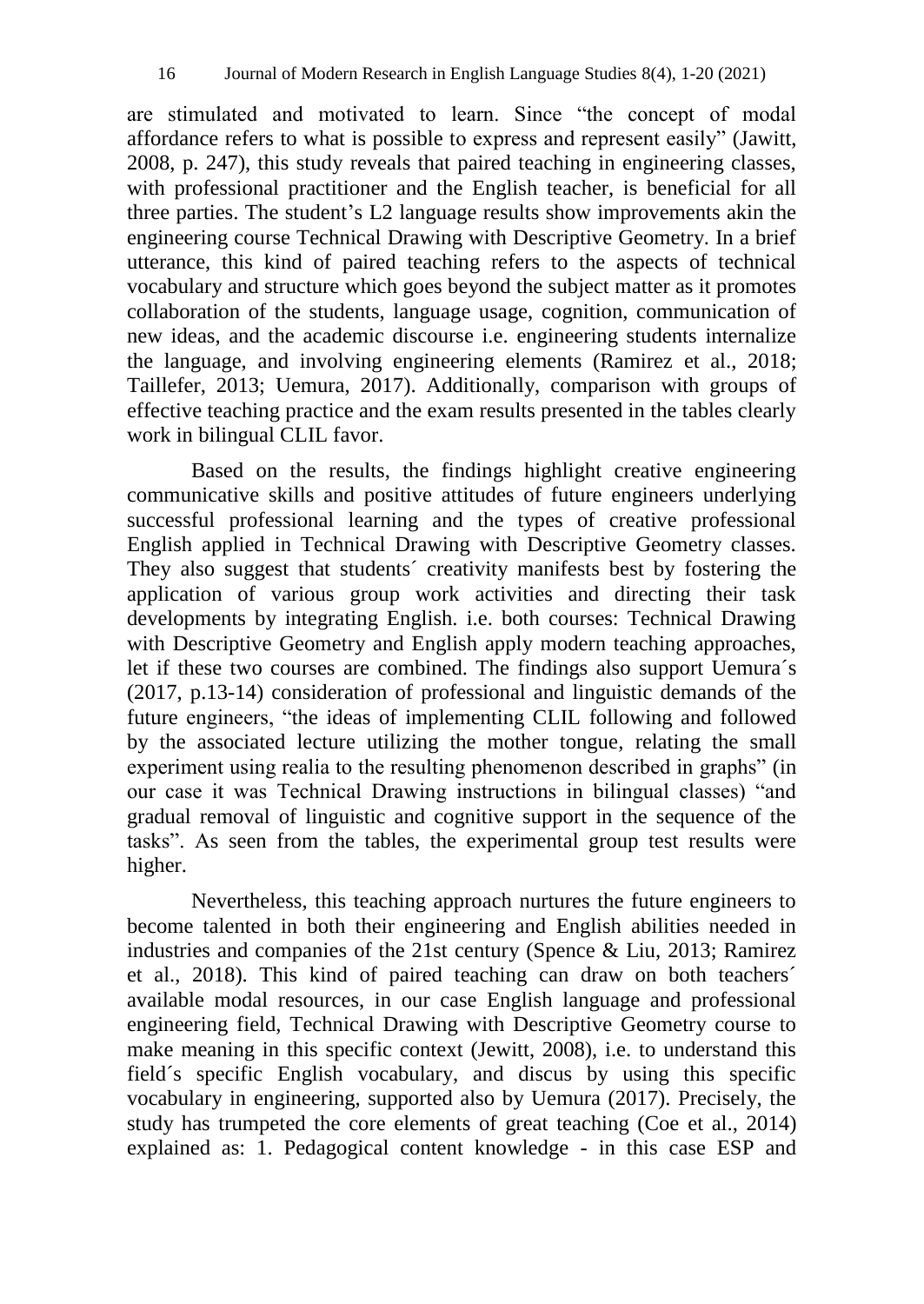are stimulated and motivated to learn. Since "the concept of modal affordance refers to what is possible to express and represent easily" (Jawitt, 2008, p. 247), this study reveals that paired teaching in engineering classes, with professional practitioner and the English teacher, is beneficial for all three parties. The student's L2 language results show improvements akin the engineering course Technical Drawing with Descriptive Geometry. In a brief utterance, this kind of paired teaching refers to the aspects of technical vocabulary and structure which goes beyond the subject matter as it promotes collaboration of the students, language usage, cognition, communication of new ideas, and the academic discourse i.e. engineering students internalize the language, and involving engineering elements (Ramirez et al., 2018; Taillefer, 2013; Uemura, 2017). Additionally, comparison with groups of effective teaching practice and the exam results presented in the tables clearly work in bilingual CLIL favor.

Based on the results, the findings highlight creative engineering communicative skills and positive attitudes of future engineers underlying successful professional learning and the types of creative professional English applied in Technical Drawing with Descriptive Geometry classes. They also suggest that students´ creativity manifests best by fostering the application of various group work activities and directing their task developments by integrating English. i.e. both courses: Technical Drawing with Descriptive Geometry and English apply modern teaching approaches, let if these two courses are combined. The findings also support Uemura´s (2017, p.13-14) consideration of professional and linguistic demands of the future engineers, "the ideas of implementing CLIL following and followed by the associated lecture utilizing the mother tongue, relating the small experiment using realia to the resulting phenomenon described in graphs" (in our case it was Technical Drawing instructions in bilingual classes) "and gradual removal of linguistic and cognitive support in the sequence of the tasks". As seen from the tables, the experimental group test results were higher.

Nevertheless, this teaching approach nurtures the future engineers to become talented in both their engineering and English abilities needed in industries and companies of the 21st century (Spence & Liu, 2013; Ramirez et al., 2018). This kind of paired teaching can draw on both teachers´ available modal resources, in our case English language and professional engineering field, Technical Drawing with Descriptive Geometry course to make meaning in this specific context (Jewitt, 2008), i.e. to understand this field´s specific English vocabulary, and discus by using this specific vocabulary in engineering, supported also by Uemura (2017). Precisely, the study has trumpeted the core elements of great teaching (Coe et al., 2014) explained as: 1. Pedagogical content knowledge - in this case ESP and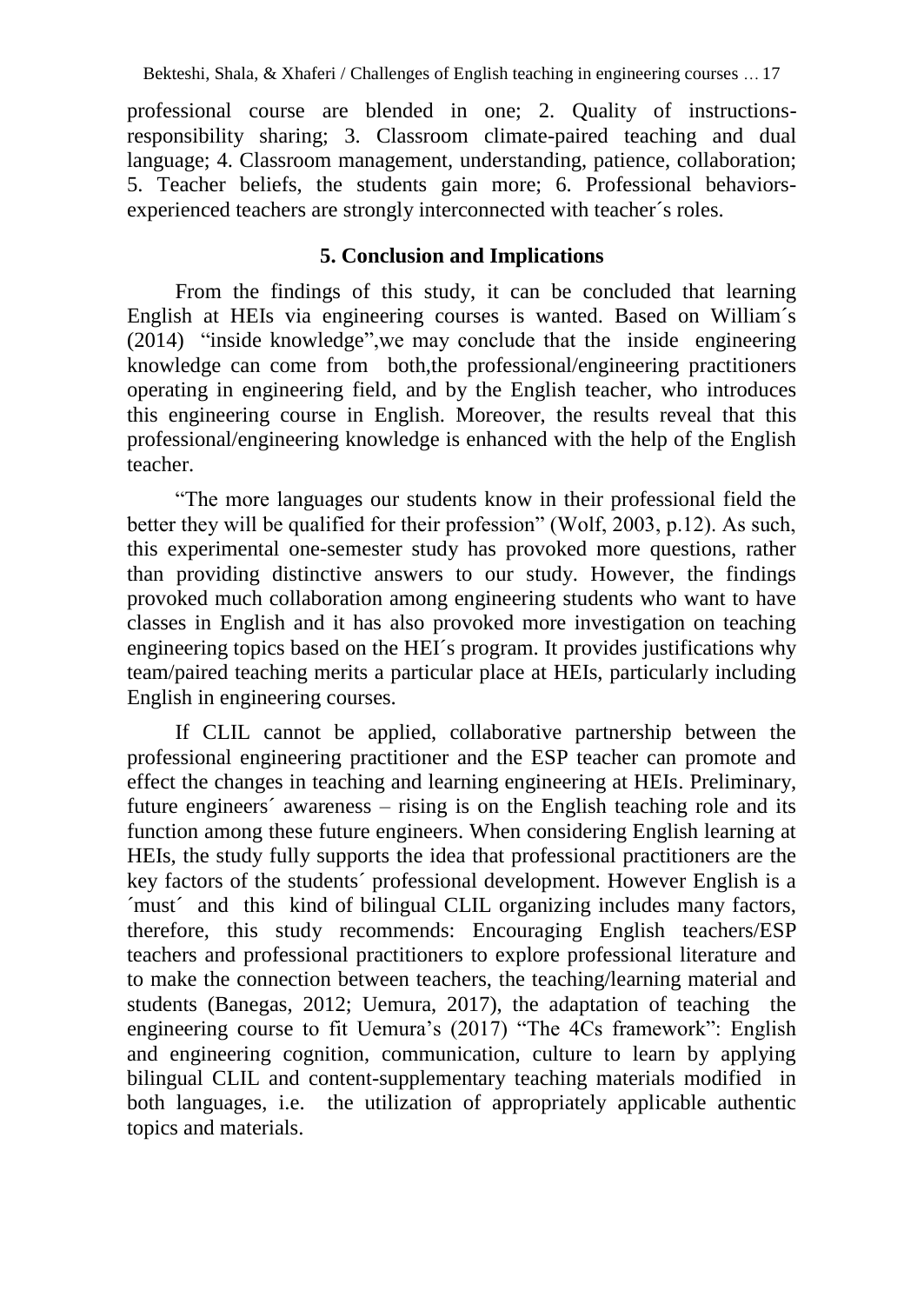professional course are blended in one; 2. Quality of instructionsresponsibility sharing; 3. Classroom climate-paired teaching and dual language; 4. Classroom management, understanding, patience, collaboration; 5. Teacher beliefs, the students gain more; 6. Professional behaviorsexperienced teachers are strongly interconnected with teacher´s roles.

## **5. Conclusion and Implications**

From the findings of this study, it can be concluded that learning English at HEIs via engineering courses is wanted. Based on William´s (2014) "inside knowledge",we may conclude that the inside engineering knowledge can come from both,the professional/engineering practitioners operating in engineering field, and by the English teacher, who introduces this engineering course in English. Moreover, the results reveal that this professional/engineering knowledge is enhanced with the help of the English teacher.

"The more languages our students know in their professional field the better they will be qualified for their profession" (Wolf, 2003, p.12). As such, this experimental one-semester study has provoked more questions, rather than providing distinctive answers to our study. However, the findings provoked much collaboration among engineering students who want to have classes in English and it has also provoked more investigation on teaching engineering topics based on the HEI´s program. It provides justifications why team/paired teaching merits a particular place at HEIs, particularly including English in engineering courses.

If CLIL cannot be applied, collaborative partnership between the professional engineering practitioner and the ESP teacher can promote and effect the changes in teaching and learning engineering at HEIs. Preliminary, future engineers´ awareness – rising is on the English teaching role and its function among these future engineers. When considering English learning at HEIs, the study fully supports the idea that professional practitioners are the key factors of the students´ professional development. However English is a ´must´ and this kind of bilingual CLIL organizing includes many factors, therefore, this study recommends: Encouraging English teachers/ESP teachers and professional practitioners to explore professional literature and to make the connection between teachers, the teaching/learning material and students (Banegas, 2012; Uemura, 2017), the adaptation of teaching the engineering course to fit Uemura's (2017) "The 4Cs framework": English and engineering cognition, communication, culture to learn by applying bilingual CLIL and content-supplementary teaching materials modified in both languages, i.e. the utilization of appropriately applicable authentic topics and materials.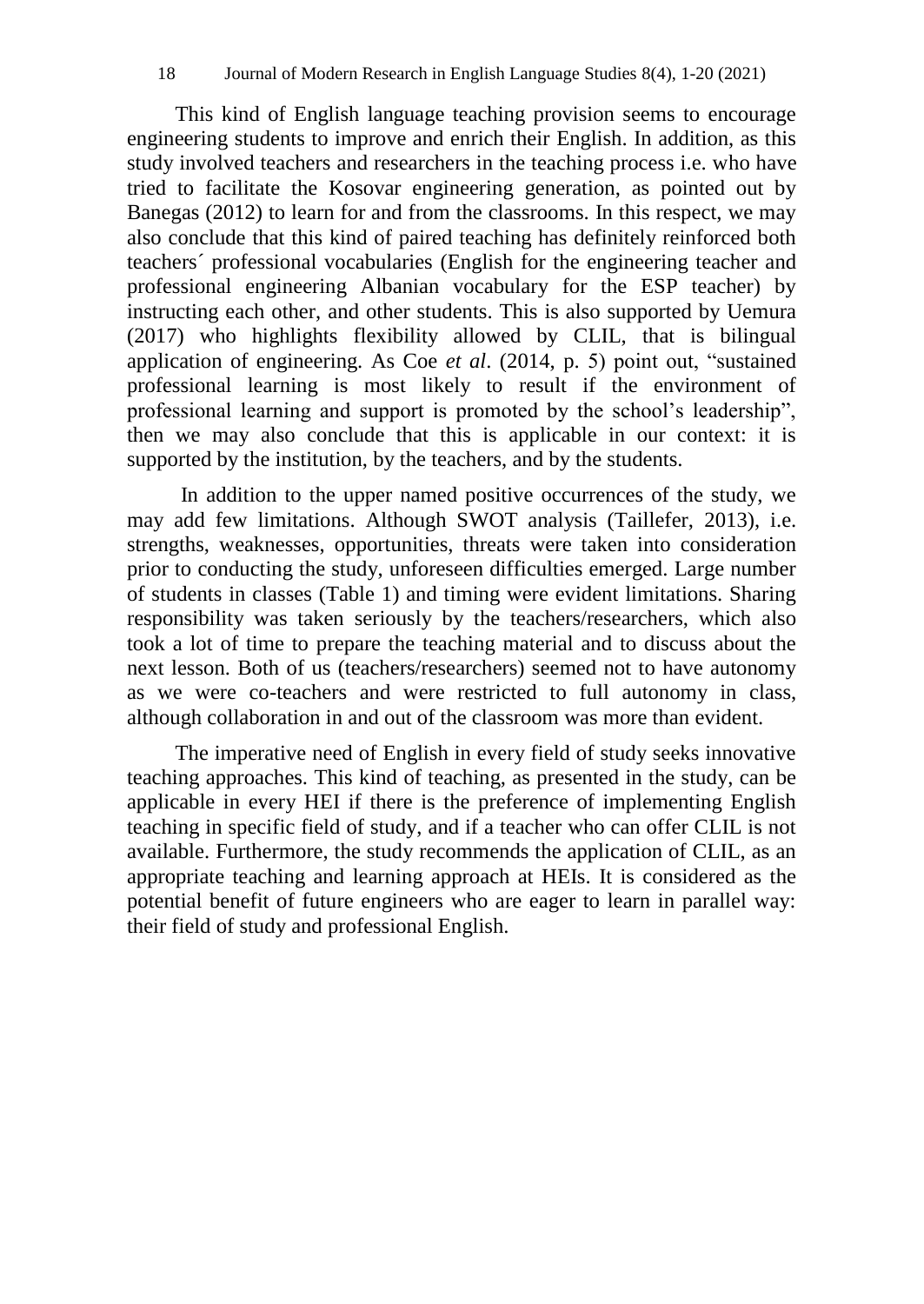This kind of English language teaching provision seems to encourage engineering students to improve and enrich their English. In addition, as this study involved teachers and researchers in the teaching process i.e. who have tried to facilitate the Kosovar engineering generation, as pointed out by Banegas (2012) to learn for and from the classrooms. In this respect, we may also conclude that this kind of paired teaching has definitely reinforced both teachers´ professional vocabularies (English for the engineering teacher and professional engineering Albanian vocabulary for the ESP teacher) by instructing each other, and other students. This is also supported by Uemura (2017) who highlights flexibility allowed by CLIL, that is bilingual application of engineering. As Coe *et al*. (2014, p. 5) point out, "sustained professional learning is most likely to result if the environment of professional learning and support is promoted by the school's leadership", then we may also conclude that this is applicable in our context: it is supported by the institution, by the teachers, and by the students.

In addition to the upper named positive occurrences of the study, we may add few limitations. Although SWOT analysis (Taillefer, 2013), i.e. strengths, weaknesses, opportunities, threats were taken into consideration prior to conducting the study, unforeseen difficulties emerged. Large number of students in classes (Table 1) and timing were evident limitations. Sharing responsibility was taken seriously by the teachers/researchers, which also took a lot of time to prepare the teaching material and to discuss about the next lesson. Both of us (teachers/researchers) seemed not to have autonomy as we were co-teachers and were restricted to full autonomy in class, although collaboration in and out of the classroom was more than evident.

The imperative need of English in every field of study seeks innovative teaching approaches. This kind of teaching, as presented in the study, can be applicable in every HEI if there is the preference of implementing English teaching in specific field of study, and if a teacher who can offer CLIL is not available. Furthermore, the study recommends the application of CLIL, as an appropriate teaching and learning approach at HEIs. It is considered as the potential benefit of future engineers who are eager to learn in parallel way: their field of study and professional English.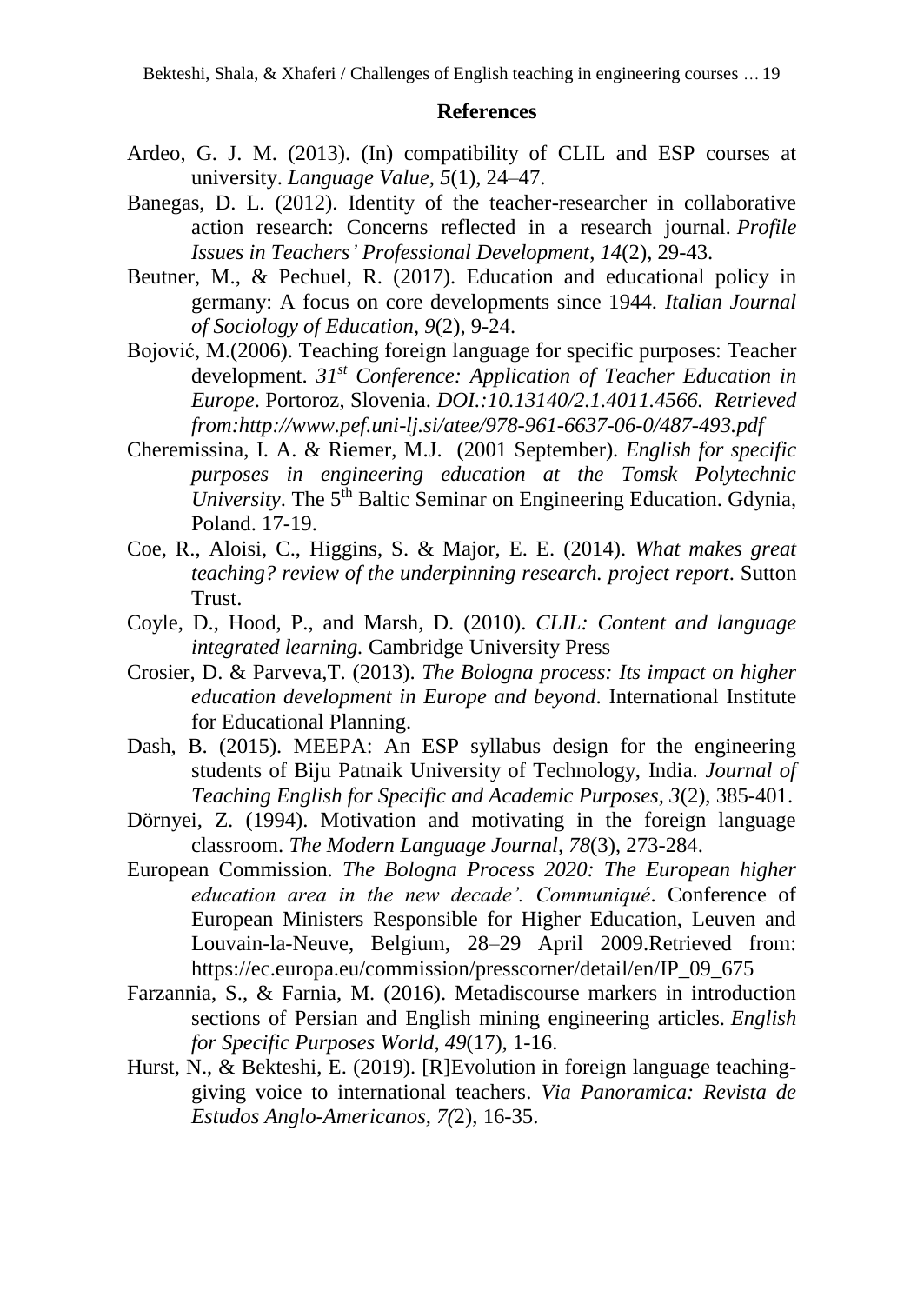### **References**

- Ardeo, G. J. M. (2013). (In) compatibility of CLIL and ESP courses at university. *Language Value*, *5*(1), 24–47.
- Banegas, D. L. (2012). Identity of the teacher-researcher in collaborative action research: Concerns reflected in a research journal*. Profile Issues in Teachers' Professional Development*, *14*(2), 29-43.
- Beutner, M., & Pechuel, R. (2017). Education and educational policy in germany: A focus on core developments since 1944. *Italian Journal of Sociology of Education*, *9*(2), 9-24.
- Bojović, M.(2006). Teaching foreign language for specific purposes: Teacher development. *31st Conference: Application of Teacher Education in Europe*. Portoroz, Slovenia. *DOI.:10.13140/2.1.4011.4566. Retrieved from[:http://www.pef.uni-lj.si/atee/978-961-6637-06-0/487-493.pdf](http://www.pef.uni-lj.si/atee/978-961-6637-06-0/487-493.pdf)*
- Cheremissina, I. A. & Riemer, M.J. (2001 September). *English for specific purposes in engineering education at the Tomsk Polytechnic University*. The 5<sup>th</sup> Baltic Seminar on Engineering Education. Gdynia, Poland. 17-19.
- Coe, R., Aloisi, C., Higgins, S. & Major, E. E. (2014). *What makes great teaching? review of the underpinning research. project report*. Sutton Trust.
- Coyle, D., Hood, P., and Marsh, D. (2010). *CLIL: Content and language integrated learning.* Cambridge University Press
- Crosier, D. & Parveva,T. (2013). *The Bologna process: Its impact on higher education development in Europe and beyond*. International Institute for Educational Planning.
- Dash, B. (2015). MEEPA: An ESP syllabus design for the engineering students of Biju Patnaik University of Technology, India. *Journal of Teaching English for Specific and Academic Purposes, 3*(2), 385-401.
- Dörnyei, Z. (1994). Motivation and motivating in the foreign language classroom. *The Modern Language Journal, 78*(3), 273-284.
- European Commission. *The Bologna Process 2020: The European higher education area in the new decade'. Communiqué*. Conference of European Ministers Responsible for Higher Education, Leuven and Louvain-la-Neuve, Belgium, 28–29 April 2009.Retrieved from: https://ec.europa.eu/commission/presscorner/detail/en/IP\_09\_675
- Farzannia, S., & Farnia, M. (2016). Metadiscourse markers in introduction sections of Persian and English mining engineering articles. *English for Specific Purposes World*, *49*(17), 1-16.
- Hurst, N., & Bekteshi, E. (2019). [R]Evolution in foreign language teachinggiving voice to international teachers. *Via Panoramica: Revista de Estudos Anglo-Americanos, 7(*2), 16-35.